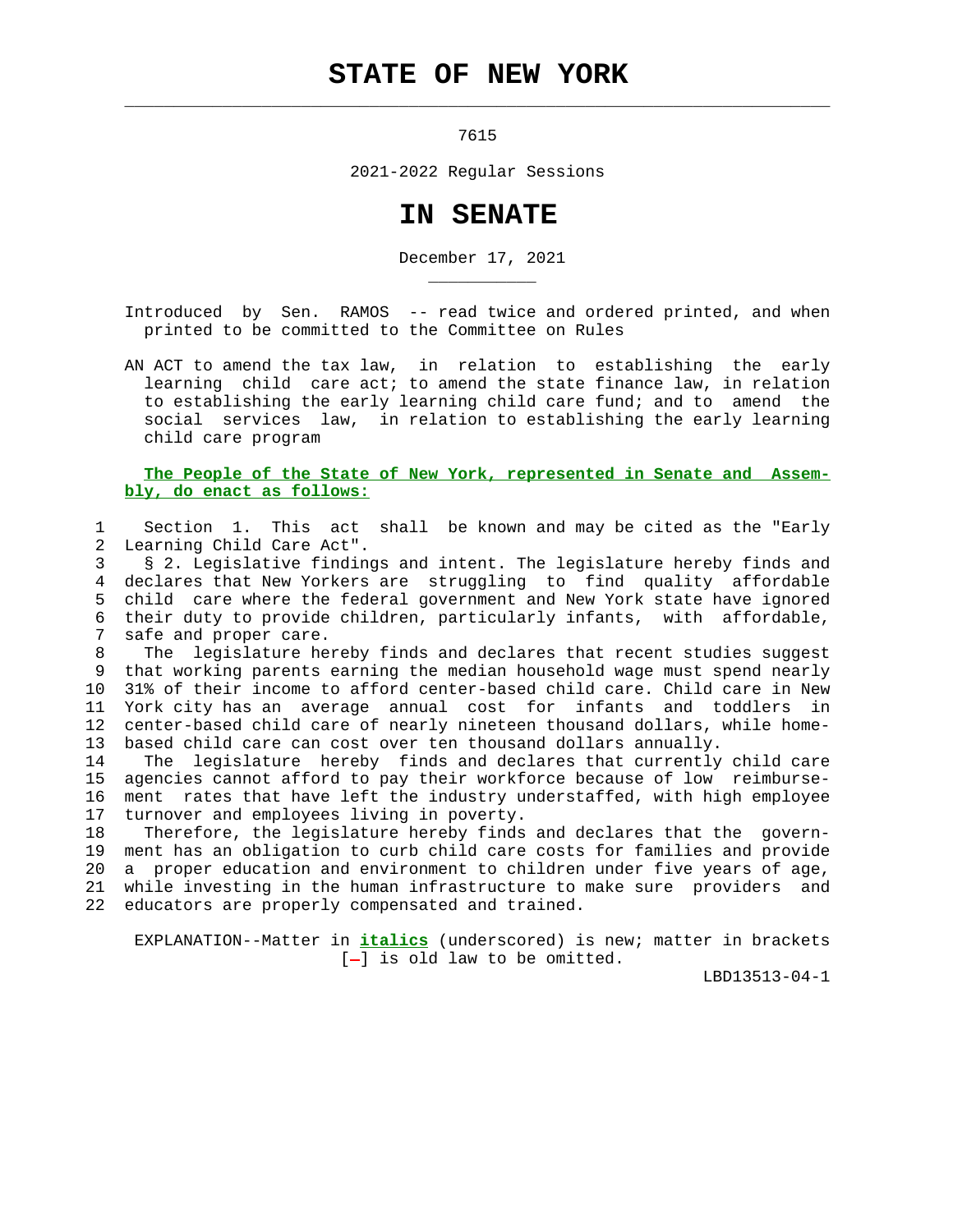## **STATE OF NEW YORK**

 $\mathcal{L}_\text{max} = \frac{1}{2} \sum_{i=1}^{n} \frac{1}{2} \sum_{i=1}^{n} \frac{1}{2} \sum_{i=1}^{n} \frac{1}{2} \sum_{i=1}^{n} \frac{1}{2} \sum_{i=1}^{n} \frac{1}{2} \sum_{i=1}^{n} \frac{1}{2} \sum_{i=1}^{n} \frac{1}{2} \sum_{i=1}^{n} \frac{1}{2} \sum_{i=1}^{n} \frac{1}{2} \sum_{i=1}^{n} \frac{1}{2} \sum_{i=1}^{n} \frac{1}{2} \sum_{i=1}^{n} \frac{1$ 

\_\_\_\_\_\_\_\_\_\_\_

7615

2021-2022 Regular Sessions

## **IN SENATE**

December 17, 2021

 Introduced by Sen. RAMOS -- read twice and ordered printed, and when printed to be committed to the Committee on Rules

 AN ACT to amend the tax law, in relation to establishing the early learning child care act; to amend the state finance law, in relation to establishing the early learning child care fund; and to amend the social services law, in relation to establishing the early learning child care program

## **The People of the State of New York, represented in Senate and Assem bly, do enact as follows:**

 1 Section 1. This act shall be known and may be cited as the "Early 2 Learning Child Care Act".

 3 § 2. Legislative findings and intent. The legislature hereby finds and 4 declares that New Yorkers are struggling to find quality affordable 5 child care where the federal government and New York state have ignored 6 their duty to provide children, particularly infants, with affordable, 7 safe and proper care.

 8 The legislature hereby finds and declares that recent studies suggest 9 that working parents earning the median household wage must spend nearly 10 31% of their income to afford center-based child care. Child care in New 11 York city has an average annual cost for infants and toddlers in 12 center-based child care of nearly nineteen thousand dollars, while home- 13 based child care can cost over ten thousand dollars annually.

 14 The legislature hereby finds and declares that currently child care 15 agencies cannot afford to pay their workforce because of low reimburse- 16 ment rates that have left the industry understaffed, with high employee 17 turnover and employees living in poverty.

 18 Therefore, the legislature hereby finds and declares that the govern- 19 ment has an obligation to curb child care costs for families and provide 20 a proper education and environment to children under five years of age, 21 while investing in the human infrastructure to make sure providers and 22 educators are properly compensated and trained.

 EXPLANATION--Matter in **italics** (underscored) is new; matter in brackets  $[-]$  is old law to be omitted.

LBD13513-04-1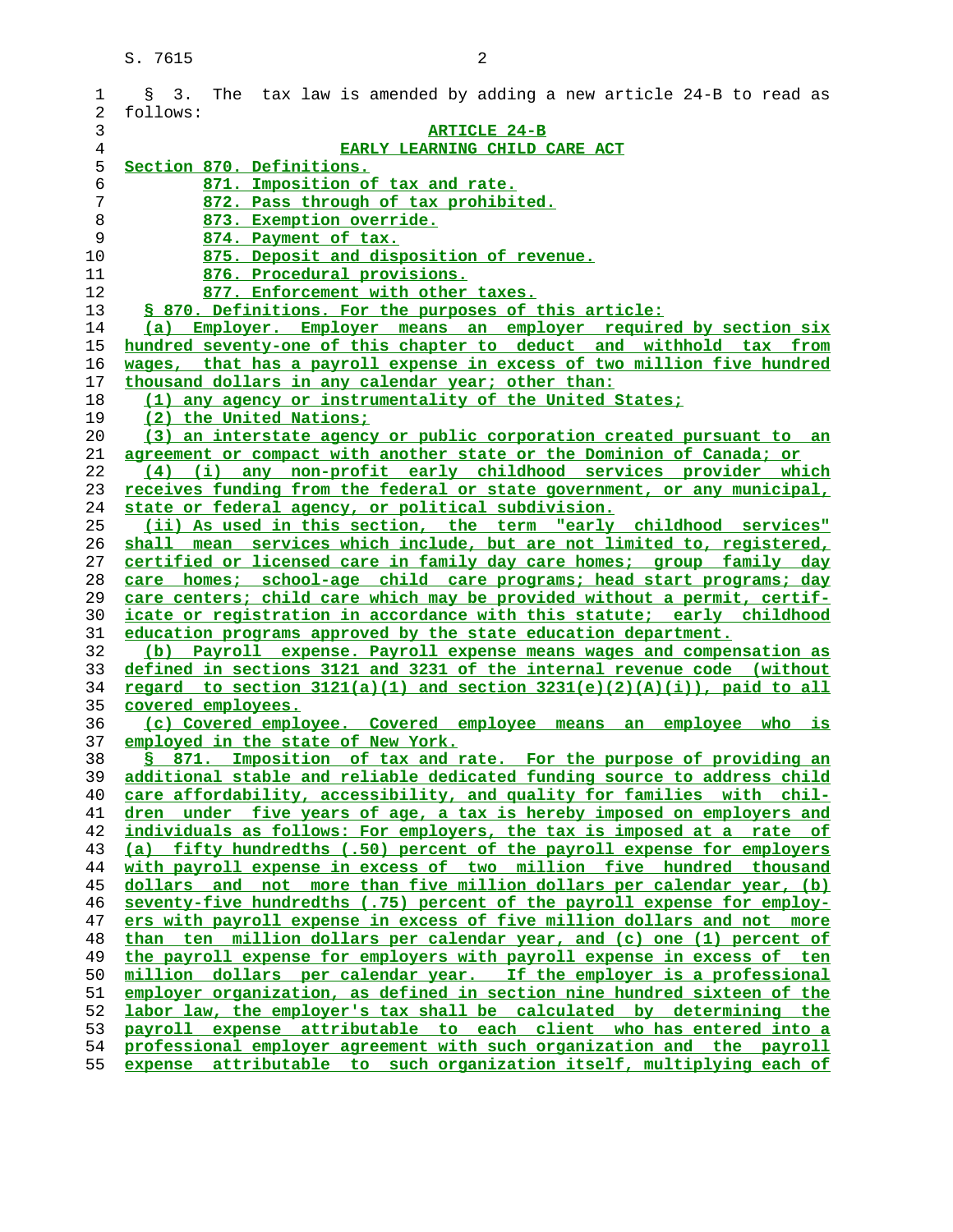| $\mathbf 1$    | The tax law is amended by adding a new article 24-B to read as<br>$S = 3.$                                                                        |
|----------------|---------------------------------------------------------------------------------------------------------------------------------------------------|
| 2              | follows:                                                                                                                                          |
| 3              | <b>ARTICLE 24-B</b>                                                                                                                               |
| $\overline{4}$ | EARLY LEARNING CHILD CARE ACT                                                                                                                     |
| 5              | Section 870. Definitions.                                                                                                                         |
| 6              | 871. Imposition of tax and rate.                                                                                                                  |
| 7              | 872. Pass through of tax prohibited.                                                                                                              |
| 8              | 873. Exemption override.                                                                                                                          |
| 9              | 874. Payment of tax.                                                                                                                              |
| 10             | 875. Deposit and disposition of revenue.                                                                                                          |
| 11<br>12       | 876. Procedural provisions.                                                                                                                       |
| 13             | 877. Enforcement with other taxes.<br>§ 870. Definitions. For the purposes of this article:                                                       |
| 14             | (a) Employer. Employer means an employer required by section six                                                                                  |
| 15             | hundred seventy-one of this chapter to deduct and withhold tax from                                                                               |
| 16             | wages, that has a payroll expense in excess of two million five hundred                                                                           |
| 17             | thousand dollars in any calendar year; other than:                                                                                                |
| 18             | (1) any agency or instrumentality of the United States;                                                                                           |
| 19             | (2) the United Nations;                                                                                                                           |
| 20             | (3) an interstate agency or public corporation created pursuant to an                                                                             |
| 21             | agreement or compact with another state or the Dominion of Canada; or                                                                             |
| 22             | (4) (i) any non-profit early childhood services provider which                                                                                    |
| 23             | receives funding from the federal or state government, or any municipal,                                                                          |
| 24             | state or federal agency, or political subdivision.                                                                                                |
| 25             | (ii) As used in this section, the term "early childhood services"                                                                                 |
| 26             | shall mean services which include, but are not limited to, registered,                                                                            |
| 27             | certified or licensed care in family day care homes; group family day                                                                             |
| 28             | care homes; school-age child care programs; head start programs; day                                                                              |
| 29             | care centers; child care which may be provided without a permit, certif-                                                                          |
| 30             | icate or registration in accordance with this statute; early childhood                                                                            |
| 31             | education programs approved by the state education department.                                                                                    |
| 32             | (b) Payroll expense. Payroll expense means wages and compensation as                                                                              |
| 33             | defined in sections 3121 and 3231 of the internal revenue code (without                                                                           |
| 34             | regard to section $3121(a)(1)$ and section $3231(e)(2)(A)(i))$ , paid to all                                                                      |
| 35             | covered employees.                                                                                                                                |
| 36             | (c) Covered employee. Covered employee means an employee who is                                                                                   |
| 37             | employed in the state of New York.                                                                                                                |
| 38             | \$ 871. Imposition of tax and rate. For the purpose of providing an                                                                               |
| 39             | additional stable and reliable dedicated funding source to address child                                                                          |
| 40             | care affordability, accessibility, and quality for families with chil-                                                                            |
| 41             | dren under five years of age, a tax is hereby imposed on employers and                                                                            |
| 42             | individuals as follows: For employers, the tax is imposed at a rate of<br>(a) fifty hundredths (.50) percent of the payroll expense for employers |
| 43<br>44       | with payroll expense in excess of two million five hundred thousand                                                                               |
| 45             | dollars and not more than five million dollars per calendar year, (b)                                                                             |
| 46             | seventy-five hundredths (.75) percent of the payroll expense for employ-                                                                          |
| 47             | ers with payroll expense in excess of five million dollars and not more                                                                           |
| 48             | than ten million dollars per calendar year, and (c) one (1) percent of                                                                            |
| 49             | the payroll expense for employers with payroll expense in excess of ten                                                                           |
| 50             | million dollars per calendar year. If the employer is a professional                                                                              |
| 51             | employer organization, as defined in section nine hundred sixteen of the                                                                          |
| 52             | labor law, the employer's tax shall be calculated by determining the                                                                              |
| 53             | payroll expense attributable to each client who has entered into a                                                                                |
| 54             | professional employer agreement with such organization and the payroll                                                                            |
| 55             | expense attributable to such organization itself, multiplying each of                                                                             |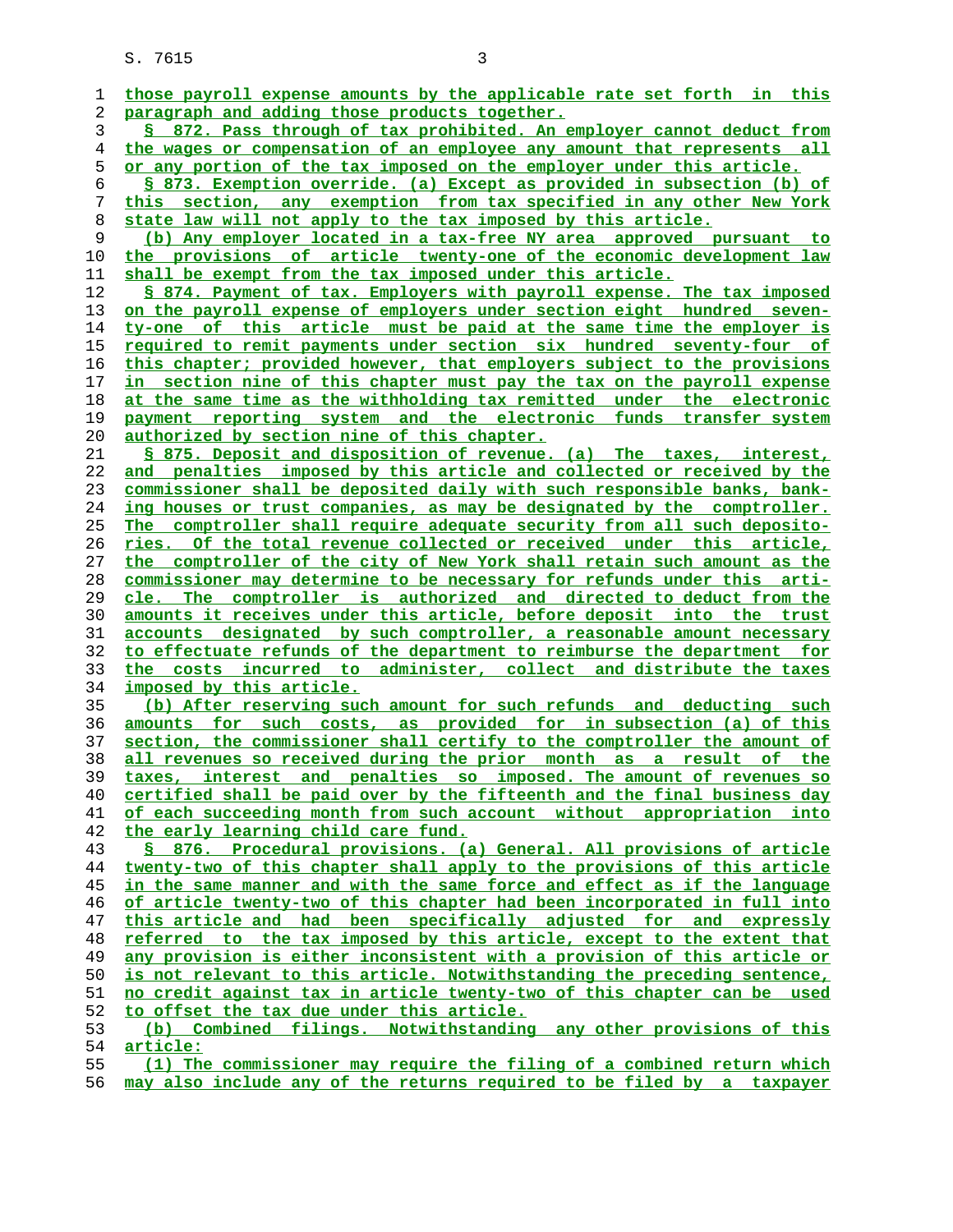**those payroll expense amounts by the applicable rate set forth in this paragraph and adding those products together. § 872. Pass through of tax prohibited. An employer cannot deduct from the wages or compensation of an employee any amount that represents all or any portion of the tax imposed on the employer under this article. § 873. Exemption override. (a) Except as provided in subsection (b) of this section, any exemption from tax specified in any other New York state law will not apply to the tax imposed by this article. (b) Any employer located in a tax-free NY area approved pursuant to the provisions of article twenty-one of the economic development law shall be exempt from the tax imposed under this article. § 874. Payment of tax. Employers with payroll expense. The tax imposed on the payroll expense of employers under section eight hundred seven- ty-one of this article must be paid at the same time the employer is required to remit payments under section six hundred seventy-four of this chapter; provided however, that employers subject to the provisions**

**in section nine of this chapter must pay the tax on the payroll expense at the same time as the withholding tax remitted under the electronic payment reporting system and the electronic funds transfer system authorized by section nine of this chapter.**

**§ 875. Deposit and disposition of revenue. (a) The taxes, interest, and penalties imposed by this article and collected or received by the commissioner shall be deposited daily with such responsible banks, bank- ing houses or trust companies, as may be designated by the comptroller. The comptroller shall require adequate security from all such deposito- ries. Of the total revenue collected or received under this article, the comptroller of the city of New York shall retain such amount as the commissioner may determine to be necessary for refunds under this arti- cle. The comptroller is authorized and directed to deduct from the amounts it receives under this article, before deposit into the trust accounts designated by such comptroller, a reasonable amount necessary to effectuate refunds of the department to reimburse the department for the costs incurred to administer, collect and distribute the taxes imposed by this article.**

**(b) After reserving such amount for such refunds and deducting such amounts for such costs, as provided for in subsection (a) of this section, the commissioner shall certify to the comptroller the amount of all revenues so received during the prior month as a result of the taxes, interest and penalties so imposed. The amount of revenues so certified shall be paid over by the fifteenth and the final business day of each succeeding month from such account without appropriation into the early learning child care fund.**

**§ 876. Procedural provisions. (a) General. All provisions of article twenty-two of this chapter shall apply to the provisions of this article in the same manner and with the same force and effect as if the language of article twenty-two of this chapter had been incorporated in full into this article and had been specifically adjusted for and expressly referred to the tax imposed by this article, except to the extent that any provision is either inconsistent with a provision of this article or is not relevant to this article. Notwithstanding the preceding sentence, no credit against tax in article twenty-two of this chapter can be used to offset the tax due under this article. (b) Combined filings. Notwithstanding any other provisions of this article:**

**(1) The commissioner may require the filing of a combined return which**

**may also include any of the returns required to be filed by a taxpayer**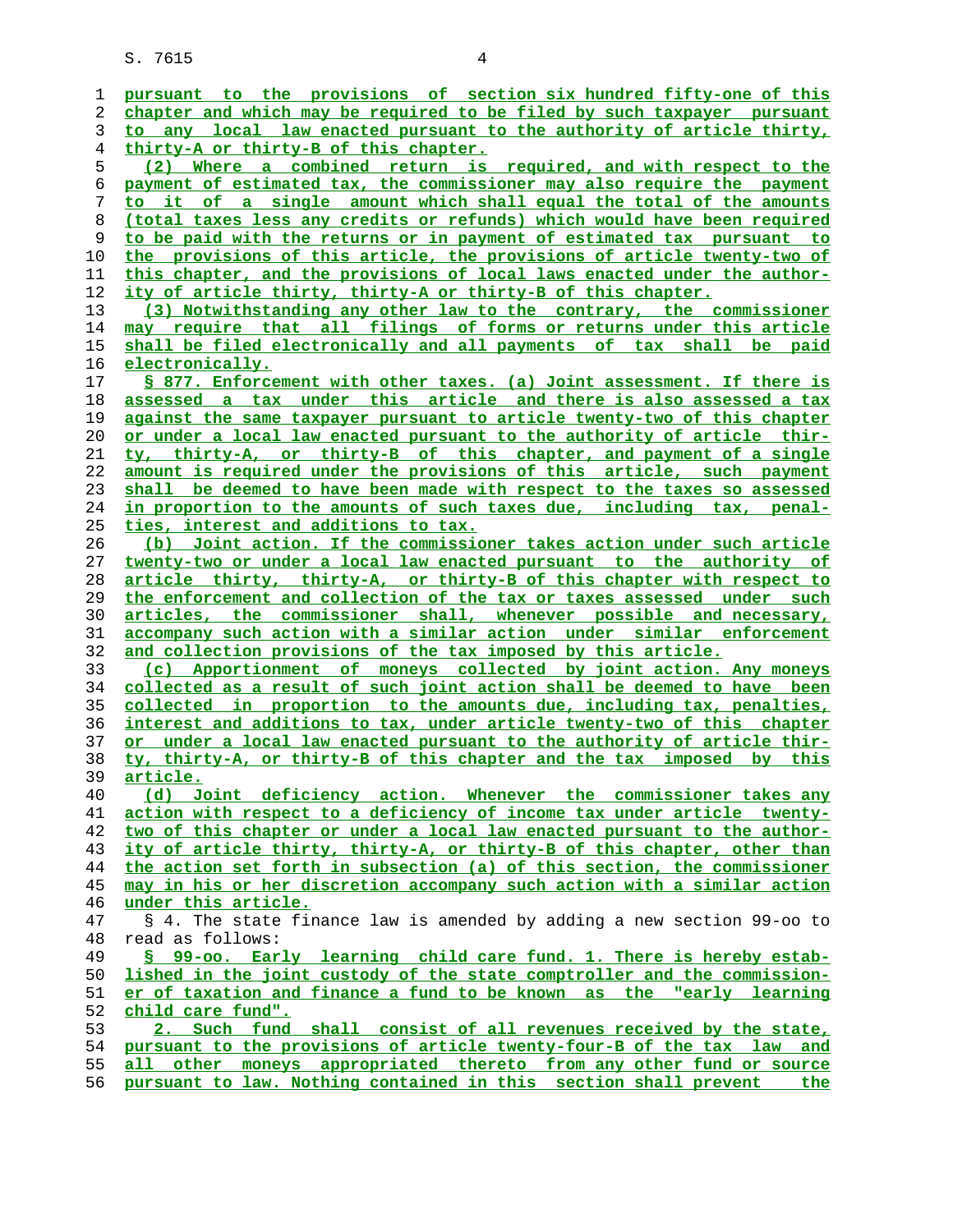**pursuant to the provisions of section six hundred fifty-one of this chapter and which may be required to be filed by such taxpayer pursuant to any local law enacted pursuant to the authority of article thirty, thirty-A or thirty-B of this chapter. (2) Where a combined return is required, and with respect to the payment of estimated tax, the commissioner may also require the payment to it of a single amount which shall equal the total of the amounts (total taxes less any credits or refunds) which would have been required to be paid with the returns or in payment of estimated tax pursuant to the provisions of this article, the provisions of article twenty-two of this chapter, and the provisions of local laws enacted under the author- ity of article thirty, thirty-A or thirty-B of this chapter. (3) Notwithstanding any other law to the contrary, the commissioner may require that all filings of forms or returns under this article shall be filed electronically and all payments of tax shall be paid electronically. § 877. Enforcement with other taxes. (a) Joint assessment. If there is assessed a tax under this article and there is also assessed a tax against the same taxpayer pursuant to article twenty-two of this chapter or under a local law enacted pursuant to the authority of article thir- ty, thirty-A, or thirty-B of this chapter, and payment of a single amount is required under the provisions of this article, such payment shall be deemed to have been made with respect to the taxes so assessed in proportion to the amounts of such taxes due, including tax, penal- ties, interest and additions to tax. (b) Joint action. If the commissioner takes action under such article twenty-two or under a local law enacted pursuant to the authority of article thirty, thirty-A, or thirty-B of this chapter with respect to the enforcement and collection of the tax or taxes assessed under such articles, the commissioner shall, whenever possible and necessary, accompany such action with a similar action under similar enforcement and collection provisions of the tax imposed by this article. (c) Apportionment of moneys collected by joint action. Any moneys collected as a result of such joint action shall be deemed to have been collected in proportion to the amounts due, including tax, penalties, interest and additions to tax, under article twenty-two of this chapter or under a local law enacted pursuant to the authority of article thir- ty, thirty-A, or thirty-B of this chapter and the tax imposed by this article. (d) Joint deficiency action. Whenever the commissioner takes any action with respect to a deficiency of income tax under article twenty- two of this chapter or under a local law enacted pursuant to the author- ity of article thirty, thirty-A, or thirty-B of this chapter, other than the action set forth in subsection (a) of this section, the commissioner may in his or her discretion accompany such action with a similar action under this article.** 47 § 4. The state finance law is amended by adding a new section 99-oo to 48 read as follows: **§ 99-oo. Early learning child care fund. 1. There is hereby estab- lished in the joint custody of the state comptroller and the commission- er of taxation and finance a fund to be known as the "early learning child care fund". 2. Such fund shall consist of all revenues received by the state, pursuant to the provisions of article twenty-four-B of the tax law and all other moneys appropriated thereto from any other fund or source pursuant to law. Nothing contained in this section shall prevent the**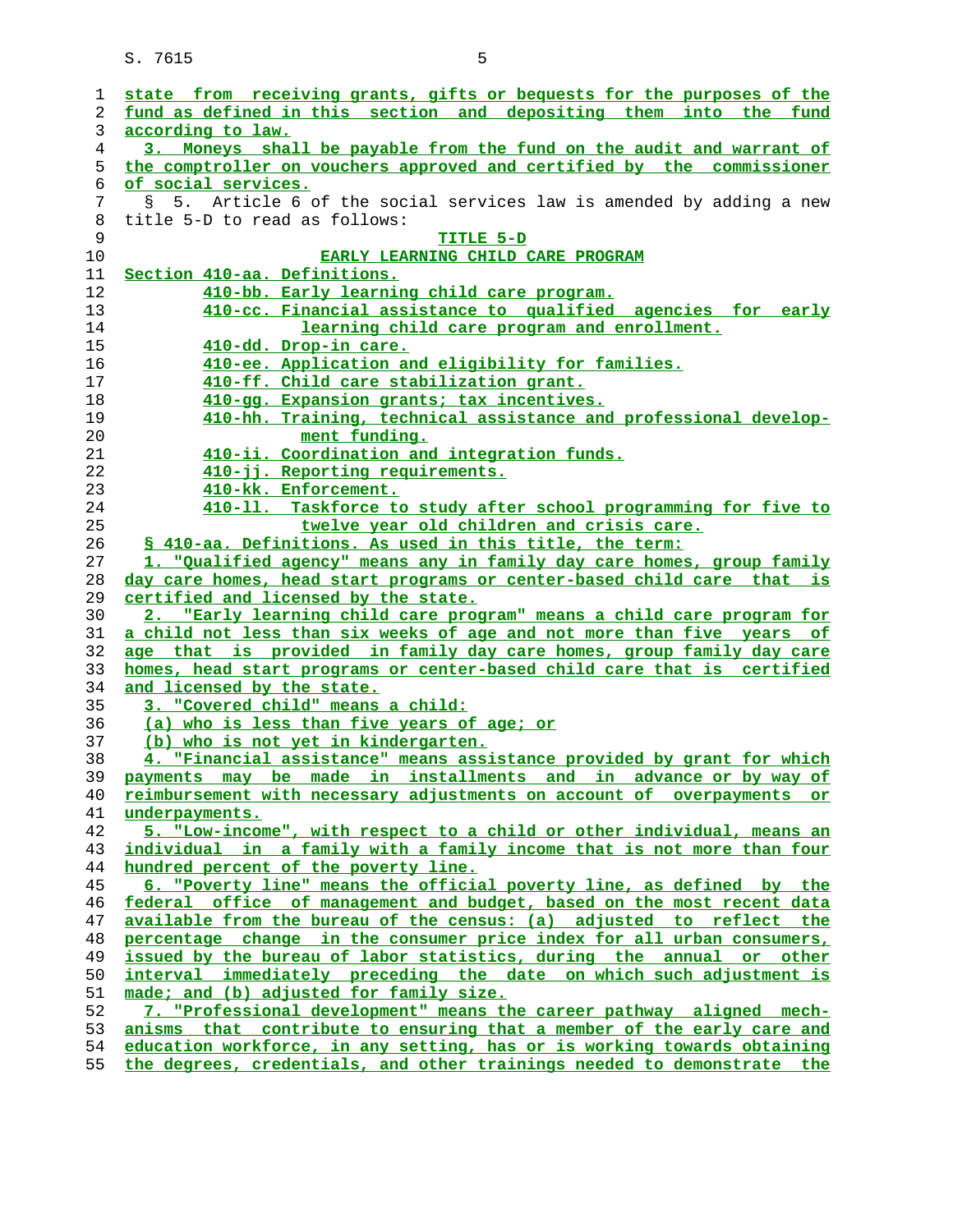| fund as defined in this section and depositing them into the fund<br>according to law.                                                              |
|-----------------------------------------------------------------------------------------------------------------------------------------------------|
| 3. Moneys shall be payable from the fund on the audit and warrant of                                                                                |
| the comptroller on vouchers approved and certified by the commissioner                                                                              |
| of social services.                                                                                                                                 |
| 5. Article 6 of the social services law is amended by adding a new<br>S.                                                                            |
| title 5-D to read as follows:                                                                                                                       |
| TITLE 5-D                                                                                                                                           |
| <b>EARLY LEARNING CHILD CARE PROGRAM</b>                                                                                                            |
| Section 410-aa. Definitions.                                                                                                                        |
| 410-bb. Early learning child care program.                                                                                                          |
| 410-cc. Financial assistance to qualified agencies for early                                                                                        |
| learning child care program and enrollment.                                                                                                         |
| <u>410-dd. Drop-in care.</u>                                                                                                                        |
| 410-ee. Application and eligibility for families.                                                                                                   |
| 410-ff. Child care stabilization grant.                                                                                                             |
| 410-gg. Expansion grants; tax incentives.                                                                                                           |
| 410-hh. Training, technical assistance and professional develop-                                                                                    |
| ment funding.                                                                                                                                       |
| 410-ii. Coordination and integration funds.                                                                                                         |
| 410-jj. Reporting requirements.                                                                                                                     |
| 410-kk. Enforcement.                                                                                                                                |
| 410-11. Taskforce to study after school programming for five to                                                                                     |
| twelve year old children and crisis care.                                                                                                           |
| § 410-aa. Definitions. As used in this title, the term:                                                                                             |
| 1. "Qualified agency" means any in family day care homes, group family                                                                              |
| day care homes, head start programs or center-based child care that is<br>certified and licensed by the state.                                      |
| 2. "Early learning child care program" means a child care program for                                                                               |
| a child not less than six weeks of age and not more than five years of                                                                              |
| age that is provided in family day care homes, group family day care                                                                                |
| homes, head start programs or center-based child care that is certified                                                                             |
| and licensed by the state.                                                                                                                          |
| 3. "Covered child" means a child:                                                                                                                   |
| (a) who is less than five years of age; or                                                                                                          |
| (b) who is not yet in kindergarten.                                                                                                                 |
| 4.<br>"Financial assistance" means assistance provided by grant for which                                                                           |
| payments may be made in installments and in advance or by way of                                                                                    |
| reimbursement with necessary adjustments on account of overpayments or                                                                              |
| underpayments.                                                                                                                                      |
| 5. "Low-income", with respect to a child or other individual, means an                                                                              |
| individual in a family with a family income that is not more than four                                                                              |
| hundred percent of the poverty line.                                                                                                                |
| 6. "Poverty line" means the official poverty line, as defined by the                                                                                |
| federal office of management and budget, based on the most recent data                                                                              |
| available from the bureau of the census: (a) adjusted to reflect the                                                                                |
| percentage change in the consumer price index for all urban consumers,                                                                              |
| issued by the bureau of labor statistics, during the annual or other                                                                                |
| interval immediately preceding the date on which such adjustment is                                                                                 |
| made; and (b) adjusted for family size.                                                                                                             |
| 7. "Professional development" means the career pathway aligned mech-                                                                                |
| anisms that contribute to ensuring that a member of the early care and                                                                              |
|                                                                                                                                                     |
| education workforce, in any setting, has or is working towards obtaining<br>the degrees, credentials, and other trainings needed to demonstrate the |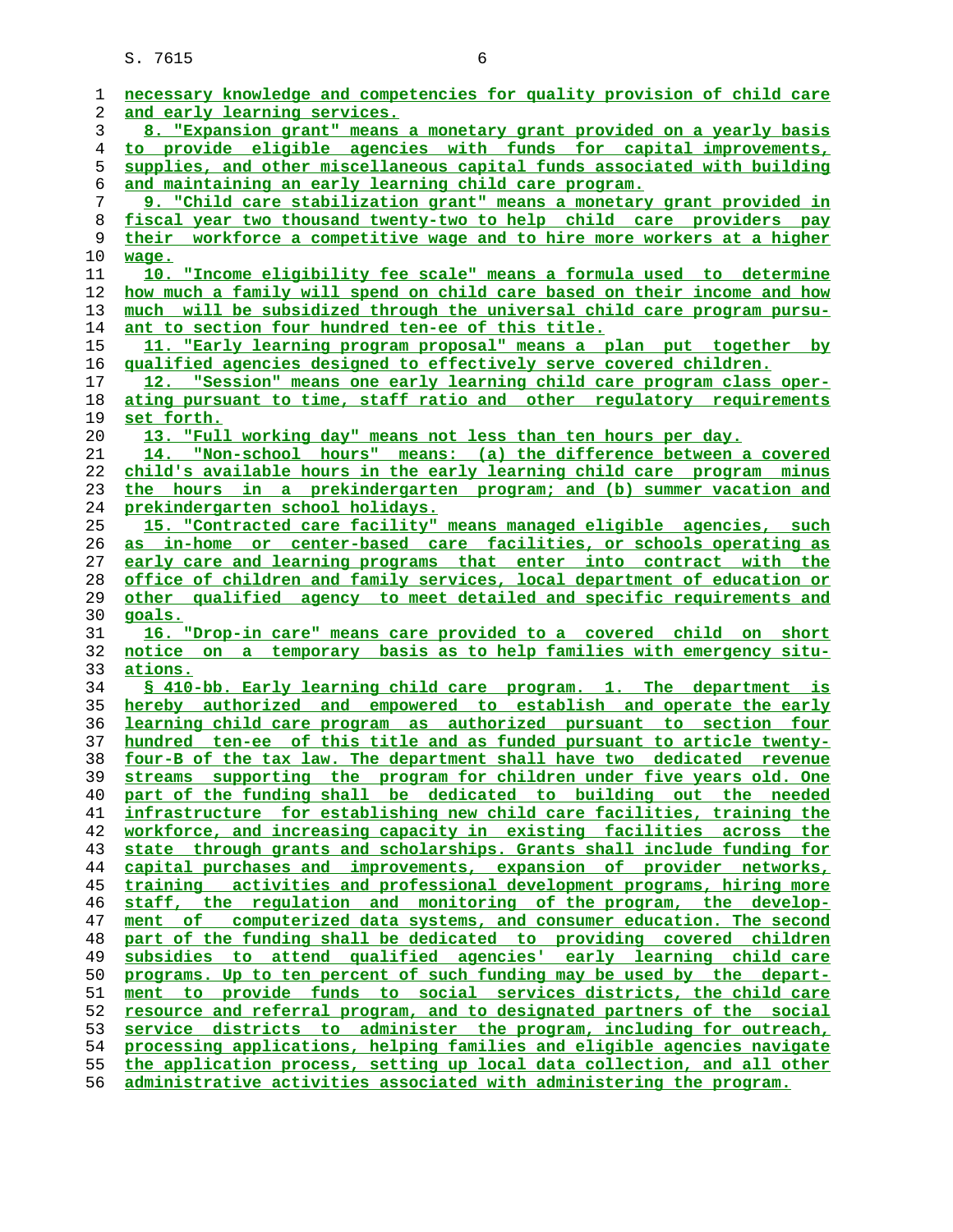| 1  | necessary knowledge and competencies for quality provision of child care  |
|----|---------------------------------------------------------------------------|
|    |                                                                           |
| 2  | <u>and early learning services.</u>                                       |
| 3  | 8. "Expansion grant" means a monetary grant provided on a yearly basis    |
| 4  | to provide eligible agencies with funds for capital improvements,         |
| 5  | supplies, and other miscellaneous capital funds associated with building  |
| 6  | and maintaining an early learning child care program.                     |
| 7  | 9. "Child care stabilization grant" means a monetary grant provided in    |
| 8  | fiscal year two thousand twenty-two to help child care providers pay      |
| 9  | their workforce a competitive wage and to hire more workers at a higher   |
| 10 | wage.                                                                     |
| 11 | 10. "Income eligibility fee scale" means a formula used to determine      |
| 12 | how much a family will spend on child care based on their income and how  |
| 13 | much will be subsidized through the universal child care program pursu-   |
| 14 | ant to section four hundred ten-ee of this title.                         |
| 15 | 11. "Early learning program proposal" means a plan put together by        |
| 16 | qualified agencies designed to effectively serve covered children.        |
|    |                                                                           |
| 17 | 12. "Session" means one early learning child care program class oper-     |
| 18 | ating pursuant to time, staff ratio and other regulatory requirements     |
| 19 | <u>set forth.</u>                                                         |
| 20 | 13. "Full working day" means not less than ten hours per day.             |
| 21 | 14. "Non-school hours" means: (a) the difference between a covered        |
| 22 | child's available hours in the early learning child care program minus    |
| 23 | the hours in a prekindergarten program; and (b) summer vacation and       |
| 24 | prekindergarten school holidays.                                          |
| 25 | 15. "Contracted care facility" means managed eligible agencies, such      |
| 26 | as in-home or center-based care facilities, or schools operating as       |
| 27 | early care and learning programs that enter into contract with the        |
| 28 | office of children and family services, local department of education or  |
| 29 | other qualified agency to meet detailed and specific requirements and     |
| 30 | goals.                                                                    |
| 31 | 16. "Drop-in care" means care provided to a covered child on short        |
| 32 | notice on a temporary basis as to help families with emergency situ-      |
| 33 | <u>ations.</u>                                                            |
| 34 | § 410-bb. Early learning child care program. 1. The department is         |
| 35 | hereby authorized and empowered to establish and operate the early        |
| 36 | <u>learning child care program as authorized pursuant to section four</u> |
| 37 | hundred ten-ee of this title and as funded pursuant to article twenty-    |
| 38 | four-B of the tax law. The department shall have two dedicated revenue    |
| 39 | supporting the program for children under five years old. One<br>streams  |
| 40 | part of the funding shall be dedicated to building out the needed         |
| 41 | infrastructure for establishing new child care facilities, training the   |
| 42 | workforce, and increasing capacity in existing facilities across the      |
| 43 | state through grants and scholarships. Grants shall include funding for   |
|    | capital purchases and improvements, expansion of provider networks,       |
| 44 |                                                                           |
| 45 | activities and professional development programs, hiring more<br>training |
| 46 | staff, the requlation and monitoring of the program, the develop-         |
| 47 | computerized data systems, and consumer education. The second<br>ment of  |
| 48 | part of the funding shall be dedicated to providing covered<br>children   |
| 49 | subsidies to attend qualified agencies' early learning child care         |
| 50 | programs. Up to ten percent of such funding may be used by the depart-    |
| 51 | ment to provide funds to social services districts, the child care        |
| 52 | resource and referral program, and to designated partners of the social   |
| 53 | service districts to administer the program, including for outreach,      |
| 54 | processing applications, helping families and eligible agencies navigate  |
| 55 | the application process, setting up local data collection, and all other  |
| 56 | administrative activities associated with administering the program.      |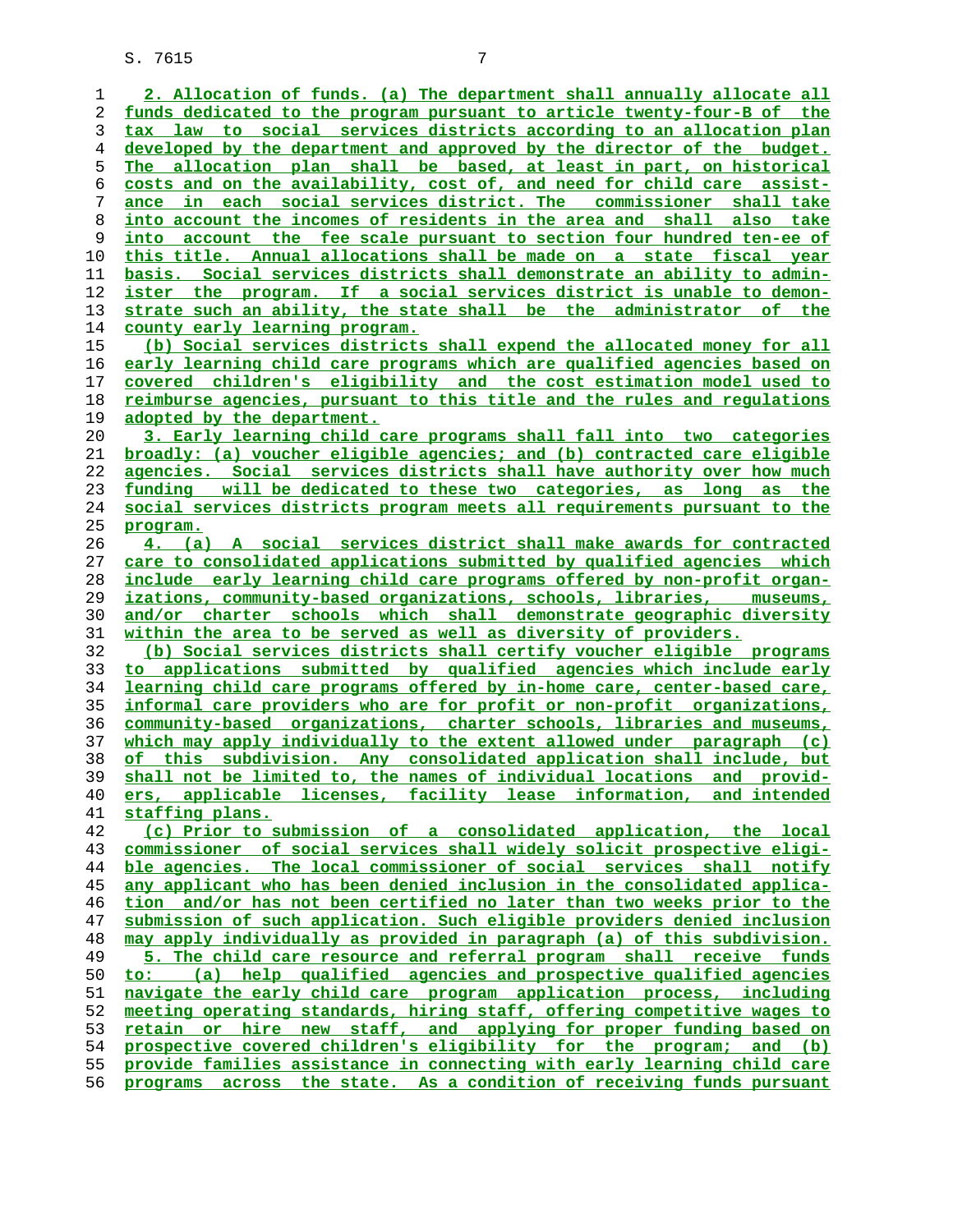**2. Allocation of funds. (a) The department shall annually allocate all funds dedicated to the program pursuant to article twenty-four-B of the tax law to social services districts according to an allocation plan developed by the department and approved by the director of the budget. The allocation plan shall be based, at least in part, on historical costs and on the availability, cost of, and need for child care assist- ance in each social services district. The commissioner shall take into account the incomes of residents in the area and shall also take into account the fee scale pursuant to section four hundred ten-ee of this title. Annual allocations shall be made on a state fiscal year basis. Social services districts shall demonstrate an ability to admin- ister the program. If a social services district is unable to demon- strate such an ability, the state shall be the administrator of the county early learning program. (b) Social services districts shall expend the allocated money for all early learning child care programs which are qualified agencies based on covered children's eligibility and the cost estimation model used to reimburse agencies, pursuant to this title and the rules and regulations adopted by the department. 3. Early learning child care programs shall fall into two categories broadly: (a) voucher eligible agencies; and (b) contracted care eligible agencies. Social services districts shall have authority over how much funding will be dedicated to these two categories, as long as the social services districts program meets all requirements pursuant to the program. 4. (a) A social services district shall make awards for contracted care to consolidated applications submitted by qualified agencies which include early learning child care programs offered by non-profit organ- izations, community-based organizations, schools, libraries, museums, and/or charter schools which shall demonstrate geographic diversity within the area to be served as well as diversity of providers. (b) Social services districts shall certify voucher eligible programs to applications submitted by qualified agencies which include early learning child care programs offered by in-home care, center-based care, informal care providers who are for profit or non-profit organizations, community-based organizations, charter schools, libraries and museums, which may apply individually to the extent allowed under paragraph (c) of this subdivision. Any consolidated application shall include, but shall not be limited to, the names of individual locations and provid- ers, applicable licenses, facility lease information, and intended staffing plans. (c) Prior to submission of a consolidated application, the local commissioner of social services shall widely solicit prospective eligi- ble agencies. The local commissioner of social services shall notify any applicant who has been denied inclusion in the consolidated applica- tion and/or has not been certified no later than two weeks prior to the submission of such application. Such eligible providers denied inclusion may apply individually as provided in paragraph (a) of this subdivision. 5. The child care resource and referral program shall receive funds to: (a) help qualified agencies and prospective qualified agencies navigate the early child care program application process, including meeting operating standards, hiring staff, offering competitive wages to retain or hire new staff, and applying for proper funding based on prospective covered children's eligibility for the program; and (b) provide families assistance in connecting with early learning child care programs across the state. As a condition of receiving funds pursuant**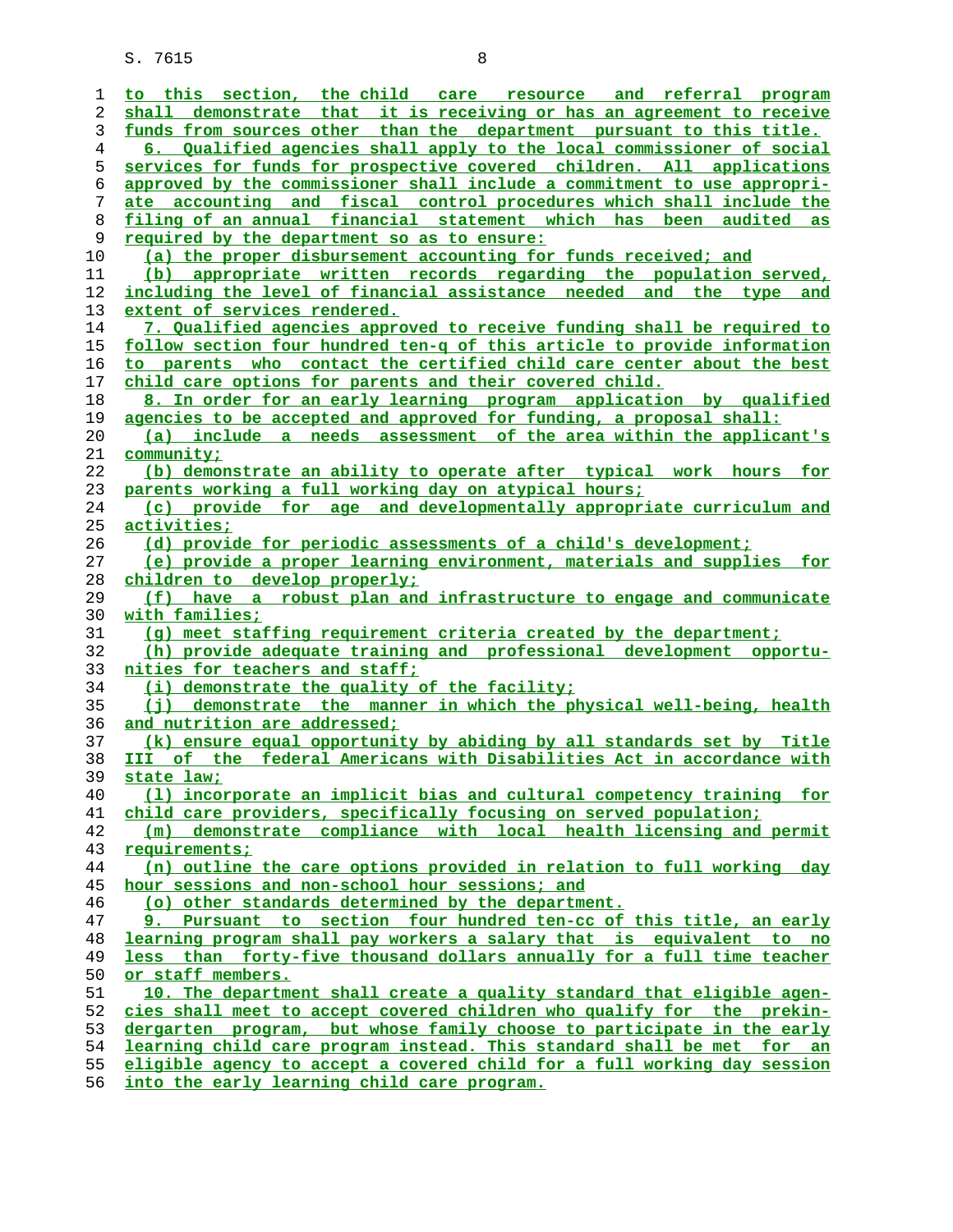| 1                  | to this section, the child care resource and referral program                                                          |
|--------------------|------------------------------------------------------------------------------------------------------------------------|
| 2                  | shall demonstrate that it is receiving or has an agreement to receive                                                  |
| 3                  | funds from sources other than the department pursuant to this title.                                                   |
| 4                  | 6. Qualified agencies shall apply to the local commissioner of social                                                  |
| 5                  | services for funds for prospective covered children. All applications                                                  |
| 6                  | approved by the commissioner shall include a commitment to use appropri-                                               |
|                    |                                                                                                                        |
| 7                  | ate accounting and fiscal control procedures which shall include the                                                   |
| 8                  | filing of an annual financial statement which has been audited as                                                      |
| 9                  | required by the department so as to ensure:                                                                            |
| 10                 | (a) the proper disbursement accounting for funds received; and                                                         |
| 11                 | (b) appropriate written records regarding the population served,                                                       |
| 12                 | including the level of financial assistance needed and the type and                                                    |
| 13                 | extent of services rendered.                                                                                           |
| 14                 | 7. Qualified agencies approved to receive funding shall be required to                                                 |
| 15                 | follow section four hundred ten-q of this article to provide information                                               |
| 16                 |                                                                                                                        |
|                    | to parents who contact the certified child care center about the best                                                  |
| 17                 | child care options for parents and their covered child.                                                                |
| 18                 | 8. In order for an early learning program application by qualified                                                     |
| 19                 | agencies to be accepted and approved for funding, a proposal shall:                                                    |
| 20                 | (a) include a needs assessment of the area within the applicant's                                                      |
| 21                 | community;                                                                                                             |
| 22                 | (b) demonstrate an ability to operate after typical work hours for                                                     |
| 23                 | parents working a full working day on atypical hours;                                                                  |
| 24                 | (c) provide for age and developmentally appropriate curriculum and                                                     |
| 25                 | activities:                                                                                                            |
| 26                 | (d) provide for periodic assessments of a child's development;                                                         |
| 27                 | (e) provide a proper learning environment, materials and supplies for                                                  |
|                    |                                                                                                                        |
| 28                 | children to develop properly;                                                                                          |
| 29                 | (f) have a robust plan and infrastructure to engage and communicate                                                    |
| 30                 | with families;                                                                                                         |
| 31                 | (q) meet staffing requirement criteria created by the department;                                                      |
| 32                 | (h) provide adequate training and professional development opportu-                                                    |
| 33                 | nities for teachers and staff;                                                                                         |
| 34                 | (i) demonstrate the quality of the facility;                                                                           |
| 35                 | (j) demonstrate the manner in which the physical well-being, health                                                    |
| 36                 | and nutrition are addressed;                                                                                           |
| 37                 | (k) ensure equal opportunity by abiding by all standards set by Title                                                  |
| 38                 | III of the federal Americans with Disabilities Act in accordance with                                                  |
| 39                 | state law:                                                                                                             |
| 40                 | (1) incorporate an implicit bias and cultural competency training for                                                  |
|                    |                                                                                                                        |
| 41                 | child care providers, specifically focusing on served population;                                                      |
| 42                 | (m) demonstrate compliance with local health licensing and permit                                                      |
| 43                 | requirements;                                                                                                          |
| 44                 | (n) outline the care options provided in relation to full working day                                                  |
| 45                 | hour sessions and non-school hour sessions; and                                                                        |
| 46                 | (o) other standards determined by the department.                                                                      |
| 47                 | 9. Pursuant to section four hundred ten-cc of this title, an early                                                     |
| 48                 | learning program shall pay workers a salary that is equivalent to no                                                   |
| 49                 | less than forty-five thousand dollars annually for a full time teacher                                                 |
| 50                 | or staff members.                                                                                                      |
| 51                 | 10. The department shall create a quality standard that eligible agen-                                                 |
| 52                 | cies shall meet to accept covered children who qualify for the prekin-                                                 |
|                    |                                                                                                                        |
| 53                 | dergarten program, but whose family choose to participate in the early                                                 |
| 54                 | learning child care program instead. This standard shall be met for an                                                 |
| 55                 | eligible agency to accept a covered child for a full working day session<br>into the conly learning ghild gave program |
| $\Gamma$ $\subset$ |                                                                                                                        |

**into the early learning child care program.**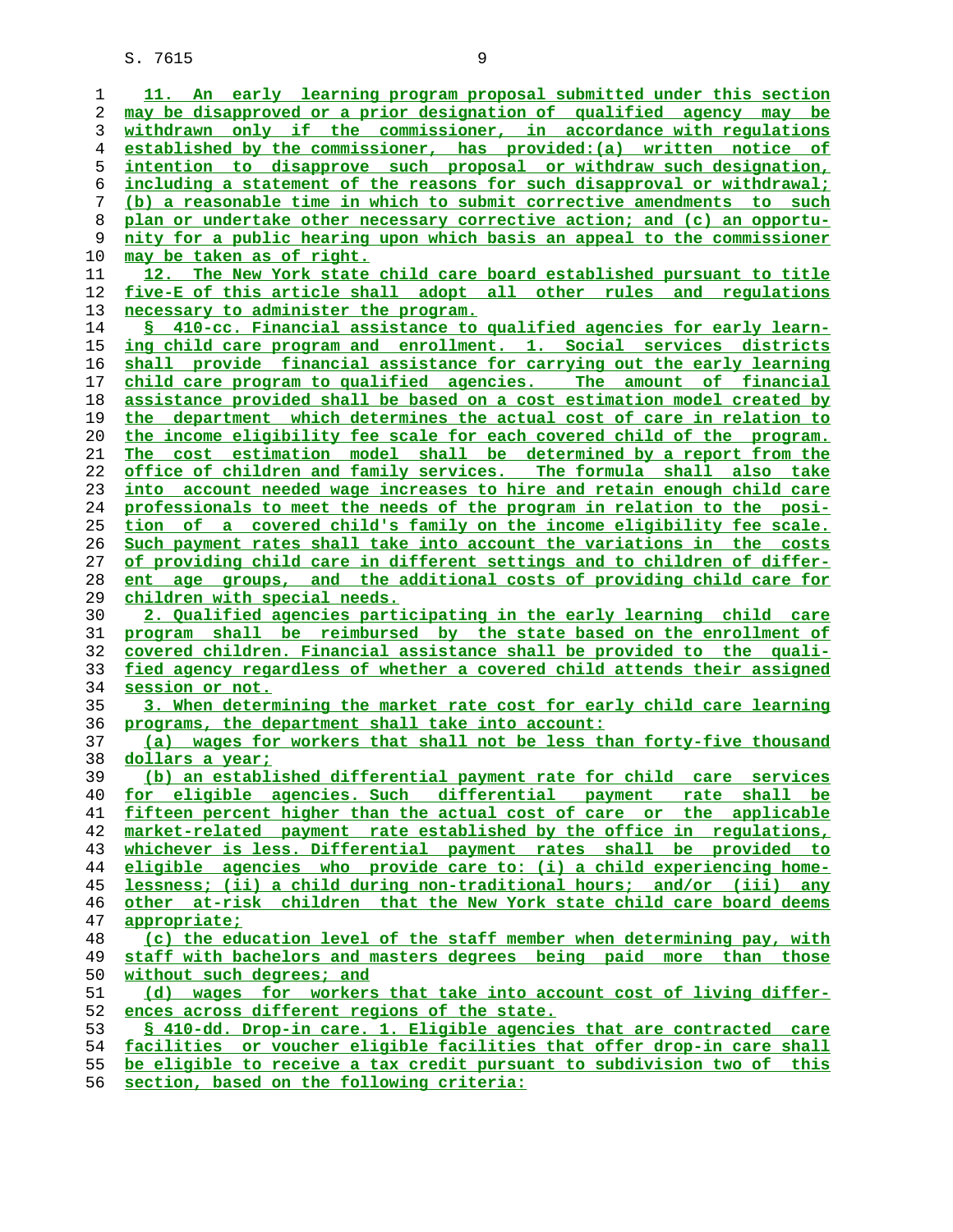**11. An early learning program proposal submitted under this section may be disapproved or a prior designation of qualified agency may be withdrawn only if the commissioner, in accordance with regulations established by the commissioner, has provided:(a) written notice of intention to disapprove such proposal or withdraw such designation, including a statement of the reasons for such disapproval or withdrawal; (b) a reasonable time in which to submit corrective amendments to such plan or undertake other necessary corrective action; and (c) an opportu- nity for a public hearing upon which basis an appeal to the commissioner may be taken as of right. 12. The New York state child care board established pursuant to title five-E of this article shall adopt all other rules and regulations necessary to administer the program. § 410-cc. Financial assistance to qualified agencies for early learn- ing child care program and enrollment. 1. Social services districts shall provide financial assistance for carrying out the early learning child care program to qualified agencies. The amount of financial assistance provided shall be based on a cost estimation model created by the department which determines the actual cost of care in relation to the income eligibility fee scale for each covered child of the program. The cost estimation model shall be determined by a report from the office of children and family services. The formula shall also take into account needed wage increases to hire and retain enough child care professionals to meet the needs of the program in relation to the posi- tion of a covered child's family on the income eligibility fee scale. Such payment rates shall take into account the variations in the costs of providing child care in different settings and to children of differ- ent age groups, and the additional costs of providing child care for children with special needs. 2. Qualified agencies participating in the early learning child care program shall be reimbursed by the state based on the enrollment of covered children. Financial assistance shall be provided to the quali- fied agency regardless of whether a covered child attends their assigned session or not. 3. When determining the market rate cost for early child care learning programs, the department shall take into account: (a) wages for workers that shall not be less than forty-five thousand dollars a year; (b) an established differential payment rate for child care services for eligible agencies. Such differential payment rate shall be fifteen percent higher than the actual cost of care or the applicable market-related payment rate established by the office in regulations, whichever is less. Differential payment rates shall be provided to eligible agencies who provide care to: (i) a child experiencing home- lessness; (ii) a child during non-traditional hours; and/or (iii) any other at-risk children that the New York state child care board deems appropriate; (c) the education level of the staff member when determining pay, with staff with bachelors and masters degrees being paid more than those** without such degrees; and **(d) wages for workers that take into account cost of living differ- ences across different regions of the state. § 410-dd. Drop-in care. 1. Eligible agencies that are contracted care facilities or voucher eligible facilities that offer drop-in care shall be eligible to receive a tax credit pursuant to subdivision two of this**

**section, based on the following criteria:**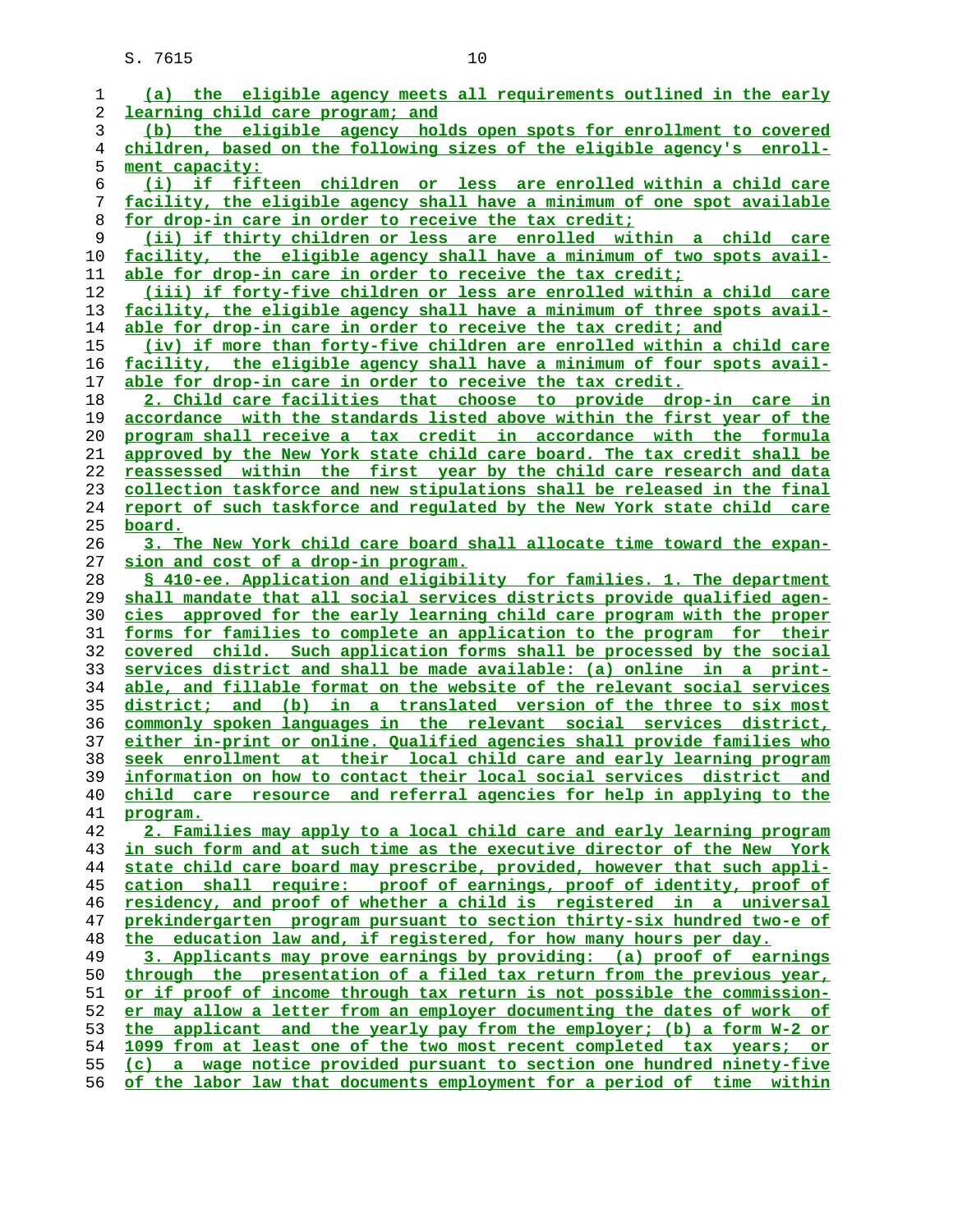| 1        | (a) the eligible agency meets all requirements outlined in the early                                                                           |
|----------|------------------------------------------------------------------------------------------------------------------------------------------------|
| 2        | learning child care program; and                                                                                                               |
| 3        | (b) the eligible agency holds open spots for enrollment to covered                                                                             |
| 4        | children, based on the following sizes of the eligible agency's enroll-                                                                        |
| 5        | ment capacity:                                                                                                                                 |
| 6        | (i) if fifteen children or less are enrolled within a child care                                                                               |
| 7        | facility, the eligible agency shall have a minimum of one spot available                                                                       |
| 8        | for drop-in care in order to receive the tax credit;                                                                                           |
| 9        | (ii) if thirty children or less are enrolled within a child care                                                                               |
| 10       | facility, the eligible agency shall have a minimum of two spots avail-                                                                         |
| 11       | able for drop-in care in order to receive the tax credit;<br>(iii) if forty-five children or less are enrolled within a child care             |
| 12       |                                                                                                                                                |
| 13<br>14 | facility, the eligible agency shall have a minimum of three spots avail-<br>able for drop-in care in order to receive the tax credit; and      |
| 15       | (iv) if more than forty-five children are enrolled within a child care                                                                         |
| 16       | facility, the eligible agency shall have a minimum of four spots avail-                                                                        |
| 17       | able for drop-in care in order to receive the tax credit.                                                                                      |
| 18       | 2. Child care facilities that choose to provide drop-in care in                                                                                |
| 19       | accordance with the standards listed above within the first year of the                                                                        |
| 20       | program shall receive a tax credit in accordance with the formula                                                                              |
| 21       | approved by the New York state child care board. The tax credit shall be                                                                       |
| 22       | reassessed within the first year by the child care research and data                                                                           |
| 23       | collection taskforce and new stipulations shall be released in the final                                                                       |
| 24       | report of such taskforce and regulated by the New York state child care                                                                        |
| 25       | <u>board.</u>                                                                                                                                  |
| 26       | 3. The New York child care board shall allocate time toward the expan-                                                                         |
| 27       | sion and cost of a drop-in program.                                                                                                            |
| 28       | \$ 410-ee. Application and eligibility for families. 1. The department                                                                         |
| 29       | shall mandate that all social services districts provide qualified agen-                                                                       |
| 30       | cies approved for the early learning child care program with the proper                                                                        |
| 31       | <u>forms for families to complete an application to the program for their</u>                                                                  |
| 32       | covered child. Such application forms shall be processed by the social                                                                         |
| 33       | services district and shall be made available: (a) online in a print-                                                                          |
| 34       | able, and fillable format on the website of the relevant social services                                                                       |
| 35       | district; and (b) in a translated version of the three to six most                                                                             |
| 36       | commonly spoken languages in the relevant social services district,                                                                            |
| 37       | either in-print or online. Qualified agencies shall provide families who                                                                       |
| 38       | seek enrollment at their local child care and early learning program                                                                           |
| 39       | information on how to contact their local social services district and                                                                         |
| 40       | child care resource and referral agencies for help in applying to the                                                                          |
| 41       | program.                                                                                                                                       |
| 42       | 2. Families may apply to a local child care and early learning program                                                                         |
| 43       | in such form and at such time as the executive director of the New York                                                                        |
| 44       | state child care board may prescribe, provided, however that such appli-                                                                       |
| 45       | cation shall require: proof of earnings, proof of identity, proof of                                                                           |
| 46       | residency, and proof of whether a child is registered in a universal                                                                           |
| 47       | prekindergarten program pursuant to section thirty-six hundred two-e of                                                                        |
| 48       | the education law and, if registered, for how many hours per day.                                                                              |
| 49       | 3. Applicants may prove earnings by providing: (a) proof of earnings                                                                           |
| 50       | through the presentation of a filed tax return from the previous year,                                                                         |
| 51       | or if proof of income through tax return is not possible the commission-                                                                       |
| 52       | er may allow a letter from an employer documenting the dates of work of                                                                        |
| 53<br>54 | the applicant and the yearly pay from the employer; (b) a form W-2 or<br>1099 from at least one of the two most recent completed tax years; or |
| 55       | (c) a wage notice provided pursuant to section one hundred ninety-five                                                                         |
| 56       | of the labor law that documents employment for a period of time within                                                                         |
|          |                                                                                                                                                |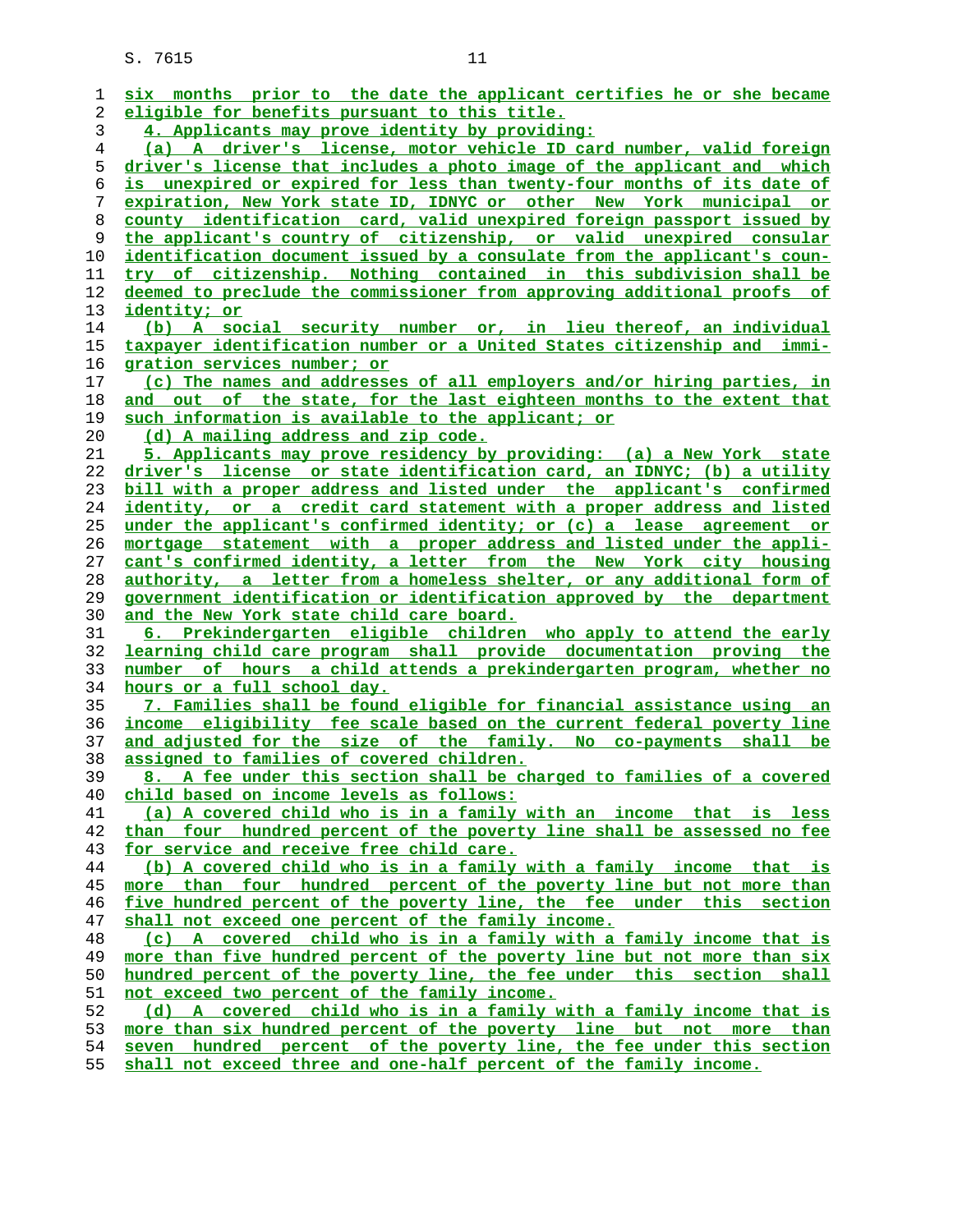| ı  | six months prior to the date the applicant certifies he or she became    |
|----|--------------------------------------------------------------------------|
| 2  | eligible for benefits pursuant to this title.                            |
| 3  | 4. Applicants may prove identity by providing:                           |
| 4  | (a) A driver's license, motor vehicle ID card number, valid foreign      |
| 5  | driver's license that includes a photo image of the applicant and which  |
| 6  | is unexpired or expired for less than twenty-four months of its date of  |
| 7  | expiration, New York state ID, IDNYC or other New York municipal or      |
| 8  | county identification card, valid unexpired foreign passport issued by   |
| 9  | the applicant's country of citizenship, or valid unexpired consular      |
| 10 | identification document issued by a consulate from the applicant's coun- |
| 11 | try of citizenship. Nothing contained in this subdivision shall be       |
| 12 | deemed to preclude the commissioner from approving additional proofs of  |
| 13 | identity; or                                                             |
| 14 | (b) A social security number or, in lieu thereof, an individual          |
| 15 | taxpayer identification number or a United States citizenship and immi-  |
| 16 | gration services number; or                                              |
| 17 | (c) The names and addresses of all employers and/or hiring parties, in   |
| 18 | and out of the state, for the last eighteen months to the extent that    |
| 19 | such information is available to the applicant; or                       |
| 20 | (d) A mailing address and zip code.                                      |
| 21 | 5. Applicants may prove residency by providing: (a) a New York state     |
| 22 | driver's license or state identification card, an IDNYC; (b) a utility   |
| 23 | bill with a proper address and listed under the applicant's confirmed    |
| 24 | identity, or a credit card statement with a proper address and listed    |
| 25 | under the applicant's confirmed identity; or (c) a lease agreement or    |
| 26 | mortgage statement with a proper address and listed under the appli-     |
| 27 | cant's confirmed identity, a letter from the New York city housing       |
| 28 | authority, a letter from a homeless shelter, or any additional form of   |
| 29 | government identification or identification approved by the department   |
| 30 | and the New York state child care board.                                 |
| 31 | 6. Prekindergarten eligible children who apply to attend the early       |
| 32 | learning child care program shall provide documentation proving the      |
| 33 | number of hours a child attends a prekindergarten program, whether no    |
| 34 | hours or a full school day.                                              |
| 35 | 7. Families shall be found eligible for financial assistance using an    |
| 36 | income eligibility fee scale based on the current federal poverty line   |
| 37 | and adjusted for the size of the family. No co-payments shall be         |
| 38 | assigned to families of covered children.                                |
| 39 | 8. A fee under this section shall be charged to families of a covered    |
| 40 | child based on income levels as follows:                                 |
| 41 | (a) A covered child who is in a family with an income that is less       |
| 42 | than four hundred percent of the poverty line shall be assessed no fee   |
| 43 | for service and receive free child care.                                 |
| 44 | (b) A covered child who is in a family with a family income that is      |
| 45 | more than four hundred percent of the poverty line but not more than     |
| 46 | five hundred percent of the poverty line, the fee under this section     |
| 47 | shall not exceed one percent of the family income.                       |
| 48 | (c) A covered child who is in a family with a family income that is      |
| 49 | more than five hundred percent of the poverty line but not more than six |
| 50 | hundred percent of the poverty line, the fee under this section shall    |
| 51 | not exceed two percent of the family income.                             |
| 52 | (d) A covered child who is in a family with a family income that is      |
| 53 | more than six hundred percent of the poverty line but not more than      |
| 54 | seven hundred percent of the poverty line, the fee under this section    |
| 55 | shall not exceed three and one-half percent of the family income.        |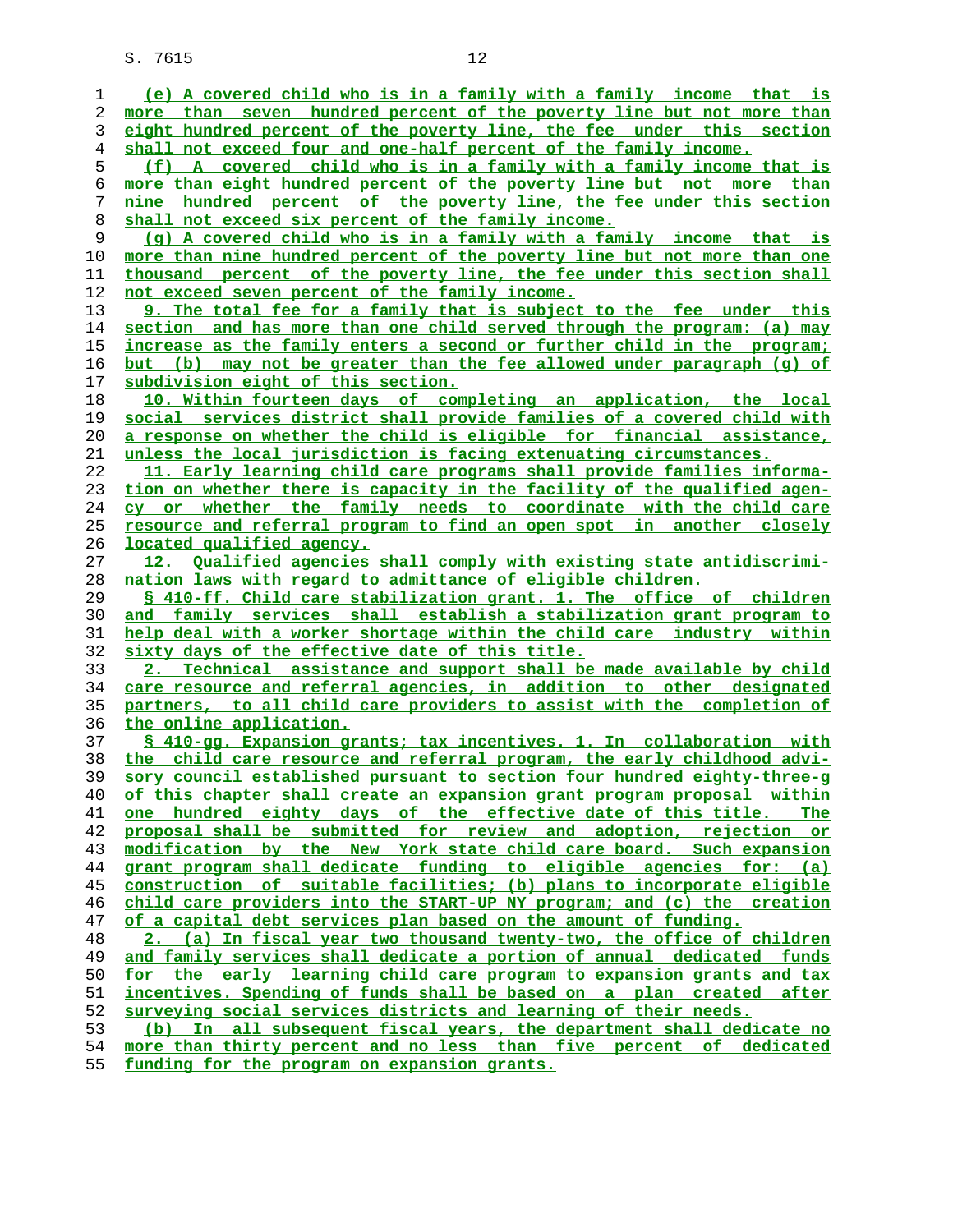**(e) A covered child who is in a family with a family income that is more than seven hundred percent of the poverty line but not more than eight hundred percent of the poverty line, the fee under this section shall not exceed four and one-half percent of the family income. (f) A covered child who is in a family with a family income that is more than eight hundred percent of the poverty line but not more than nine hundred percent of the poverty line, the fee under this section shall not exceed six percent of the family income. (g) A covered child who is in a family with a family income that is more than nine hundred percent of the poverty line but not more than one thousand percent of the poverty line, the fee under this section shall not exceed seven percent of the family income. 9. The total fee for a family that is subject to the fee under this section and has more than one child served through the program: (a) may increase as the family enters a second or further child in the program; but (b) may not be greater than the fee allowed under paragraph (g) of subdivision eight of this section. 10. Within fourteen days of completing an application, the local social services district shall provide families of a covered child with a response on whether the child is eligible for financial assistance, unless the local jurisdiction is facing extenuating circumstances. 11. Early learning child care programs shall provide families informa- tion on whether there is capacity in the facility of the qualified agen- cy or whether the family needs to coordinate with the child care resource and referral program to find an open spot in another closely located qualified agency. 12. Qualified agencies shall comply with existing state antidiscrimi- nation laws with regard to admittance of eligible children. § 410-ff. Child care stabilization grant. 1. The office of children and family services shall establish a stabilization grant program to help deal with a worker shortage within the child care industry within sixty days of the effective date of this title. 2. Technical assistance and support shall be made available by child care resource and referral agencies, in addition to other designated partners, to all child care providers to assist with the completion of the online application. § 410-gg. Expansion grants; tax incentives. 1. In collaboration with the child care resource and referral program, the early childhood advi- sory council established pursuant to section four hundred eighty-three-g of this chapter shall create an expansion grant program proposal within one hundred eighty days of the effective date of this title. The proposal shall be submitted for review and adoption, rejection or modification by the New York state child care board. Such expansion grant program shall dedicate funding to eligible agencies for: (a) construction of suitable facilities; (b) plans to incorporate eligible child care providers into the START-UP NY program; and (c) the creation of a capital debt services plan based on the amount of funding. 2. (a) In fiscal year two thousand twenty-two, the office of children and family services shall dedicate a portion of annual dedicated funds for the early learning child care program to expansion grants and tax incentives. Spending of funds shall be based on a plan created after surveying social services districts and learning of their needs. (b) In all subsequent fiscal years, the department shall dedicate no more than thirty percent and no less than five percent of dedicated funding for the program on expansion grants.**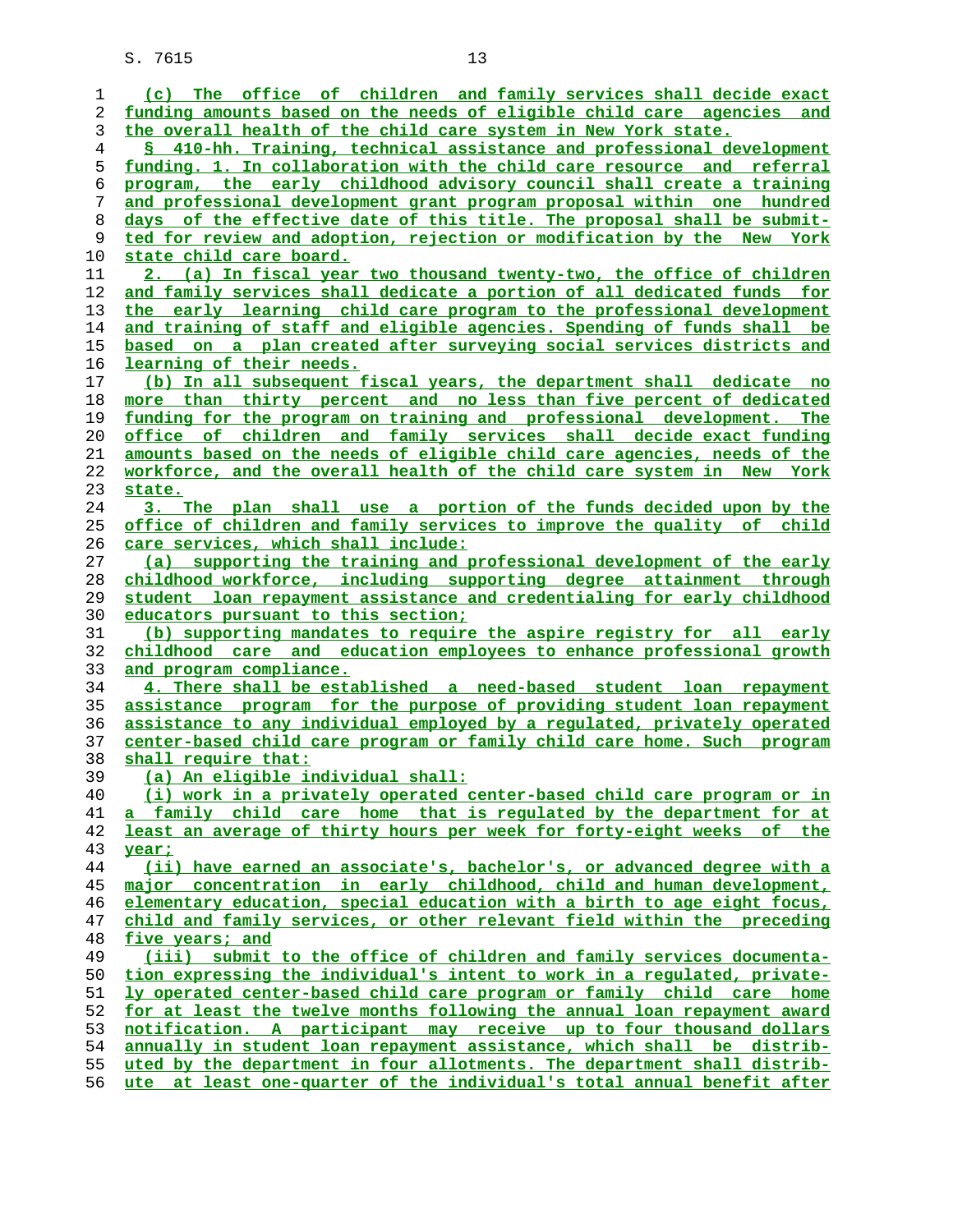| 1  | (c) The office of children and family services shall decide exact              |
|----|--------------------------------------------------------------------------------|
| 2  | funding amounts based on the needs of eligible child care agencies and         |
| 3  | the overall health of the child care system in New York state.                 |
| 4  | § 410-hh. Training, technical assistance and professional development          |
| 5  | funding. 1. In collaboration with the child care resource and referral         |
| 6  | program, the early childhood advisory council shall create a training          |
| 7  | and professional development grant program proposal within one hundred         |
| 8  | days of the effective date of this title. The proposal shall be submit-        |
| 9  | ted for review and adoption, rejection or modification by the New York         |
| 10 | <u>state child care board.</u>                                                 |
| 11 | 2. (a) In fiscal year two thousand twenty-two, the office of children          |
| 12 | <u>and family services shall dedicate a portion of all dedicated funds for</u> |
| 13 | the early learning child care program to the professional development          |
| 14 | and training of staff and eligible agencies. Spending of funds shall be        |
| 15 | <u>based on a plan created after surveying social services districts and </u>  |
| 16 | learning of their needs.                                                       |
| 17 | (b) In all subsequent fiscal years, the department shall dedicate no           |
| 18 | more than thirty percent and no less than five percent of dedicated            |
| 19 | funding for the program on training and professional development. The          |
| 20 | <u>office of children and family services shall decide-exact-funding</u>       |
| 21 | amounts based on the needs of eligible child care agencies, needs of the       |
| 22 | workforce, and the overall health of the child care system in New York         |
| 23 | state.                                                                         |
| 24 | 3. The plan shall use a portion of the funds decided upon by the               |
| 25 | <u>office of children and family services to improve the quality of child</u>  |
| 26 | care services, which shall include:                                            |
| 27 | (a) supporting the training and professional development of the early          |
| 28 | childhood workforce, including supporting degree attainment through            |
| 29 | student loan repayment assistance and credentialing for early childhood        |
| 30 | educators pursuant to this section;                                            |
| 31 | (b) supporting mandates to require the aspire registry for all early           |
| 32 | childhood care and education employees to enhance professional growth          |
| 33 | and program compliance.                                                        |
| 34 | 4. There shall be established a need-based student loan repayment              |
| 35 | assistance program for the purpose of providing student loan repayment         |
| 36 | assistance to any individual employed by a regulated, privately operated       |
| 37 | center-based child care program or family child care home. Such program        |
| 38 | shall require that:                                                            |
| 39 | (a) An eligible individual shall:                                              |
| 40 | (i) work in a privately operated center-based child care program or in         |
| 41 | <u>a family child care home that is regulated by the department for at</u>     |
| 42 | least an average of thirty hours per week for forty-eight weeks of the         |
| 43 | year;                                                                          |
| 44 | (ii) have earned an associate's, bachelor's, or advanced degree with a         |
| 45 | major concentration in early childhood, child and human development,           |
| 46 | elementary education, special education with a birth to age eight focus,       |
| 47 | child and family services, or other relevant field within the preceding        |
| 48 | five years; and                                                                |
| 49 | (iii) submit to the office of children and family services documenta-          |
| 50 | tion expressing the individual's intent to work in a regulated, private-       |
| 51 | <u>ly operated center-based child care program or family child care home</u>   |
| 52 | for at least the twelve months following the annual loan repayment award       |
| 53 | notification. A participant may receive up to four thousand dollars            |
| 54 | annually in student loan repayment assistance, which shall be distrib-         |
| 55 | uted by the department in four allotments. The department shall distrib-       |
| 56 | ute at least one-quarter of the individual's total annual benefit after        |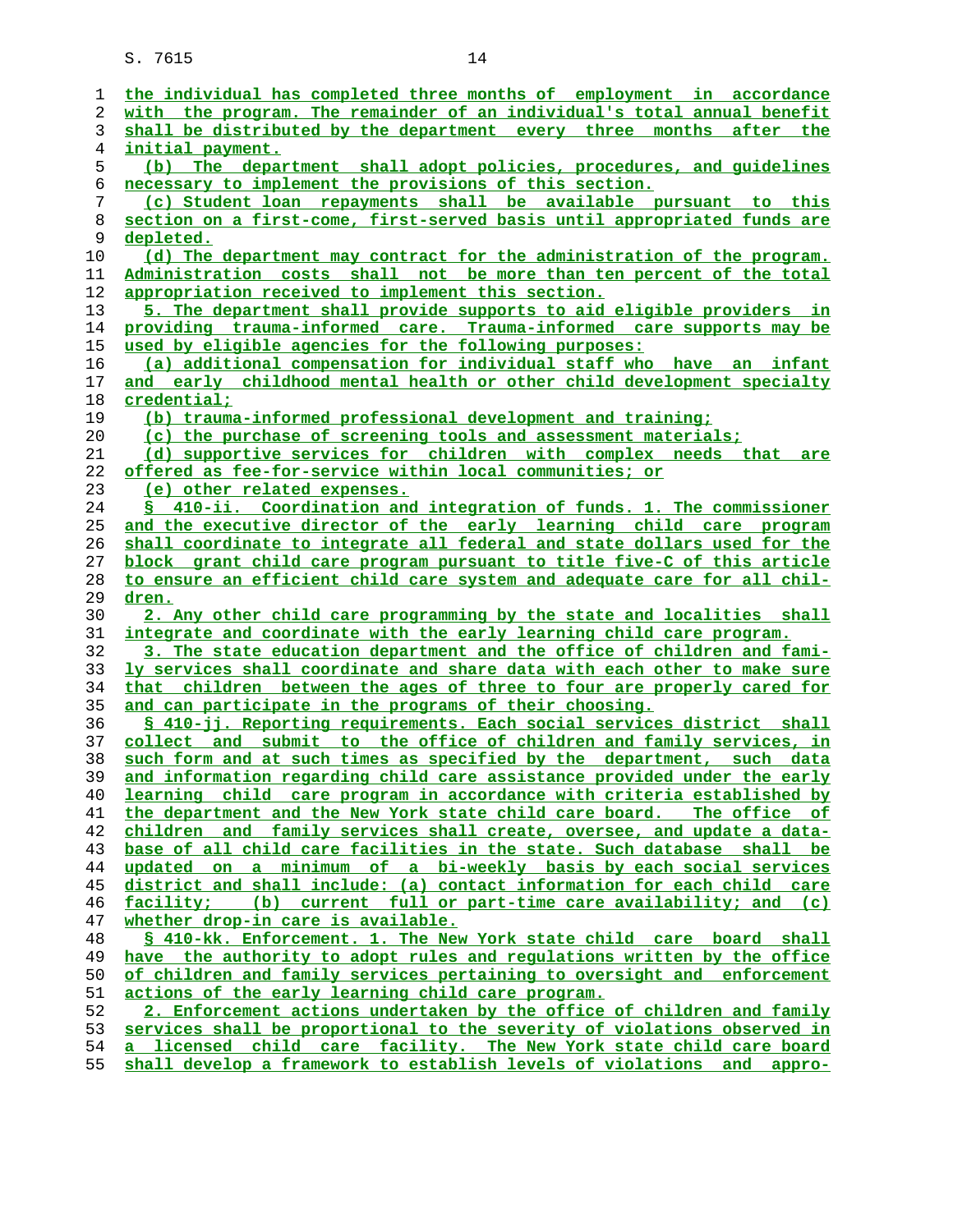| 1  | the individual has completed three months of employment in accordance    |
|----|--------------------------------------------------------------------------|
| 2  | with the program. The remainder of an individual's total annual benefit  |
| 3  | shall be distributed by the department every three months after the      |
| 4  | initial payment.                                                         |
| 5  | (b) The department shall adopt policies, procedures, and quidelines      |
| 6  | necessary to implement the provisions of this section.                   |
| 7  | (c) Student loan repayments shall be available pursuant to this          |
| 8  | section on a first-come, first-served basis until appropriated funds are |
| 9  | depleted.                                                                |
| 10 | (d) The department may contract for the administration of the program.   |
| 11 | Administration costs shall not be more than ten percent of the total     |
| 12 | appropriation received to implement this section.                        |
| 13 | 5. The department shall provide supports to aid eligible providers in    |
| 14 | providing trauma-informed care. Trauma-informed care supports may be     |
| 15 | used by eligible agencies for the following purposes:                    |
| 16 | (a) additional compensation for individual staff who have an infant      |
| 17 | and early childhood mental health or other child development specialty   |
| 18 | <u>credential;</u>                                                       |
| 19 | (b) trauma-informed professional development and training;               |
| 20 | (c) the purchase of screening tools and assessment materials;            |
| 21 | (d) supportive services for children with complex needs that are         |
| 22 | offered as fee-for-service within local communities; or                  |
| 23 | (e) other related expenses.                                              |
| 24 | § 410-ii. Coordination and integration of funds. 1. The commissioner     |
| 25 | and the executive director of the early learning child care program      |
| 26 | shall coordinate to integrate all federal and state dollars used for the |
| 27 | block grant child care program pursuant to title five-C of this article  |
| 28 | to ensure an efficient child care system and adequate care for all chil- |
| 29 | dren.                                                                    |
| 30 | 2. Any other child care programming by the state and localities shall    |
| 31 | integrate and coordinate with the early learning child care program.     |
| 32 | 3. The state education department and the office of children and fami-   |
| 33 | ly services shall coordinate and share data with each other to make sure |
| 34 | that children between the ages of three to four are properly cared for   |
| 35 | and can participate in the programs of their choosing.                   |
| 36 | § 410-jj. Reporting requirements. Each social services district shall    |
| 37 | collect and submit to the office of children and family services, in     |
| 38 | such form and at such times as specified by the department, such data    |
| 39 | and information regarding child care assistance provided under the early |
| 40 | learning child care program in accordance with criteria established by   |
| 41 | the department and the New York state child care board. The office of    |
| 42 | children and family services shall create, oversee, and update a data-   |
| 43 | base of all child care facilities in the state. Such database shall be   |
| 44 | updated on a minimum of a bi-weekly basis by each social services        |
| 45 | district and shall include: (a) contact information for each child care  |
| 46 | facility; (b) current full or part-time care availability; and (c)       |
| 47 | whether drop-in care is available.                                       |
| 48 | § 410-kk. Enforcement. 1. The New York state child care board shall      |
| 49 | have the authority to adopt rules and regulations written by the office  |
| 50 | of children and family services pertaining to oversight and enforcement  |
| 51 | actions of the early learning child care program.                        |
| 52 | 2. Enforcement actions undertaken by the office of children and family   |
| 53 | services shall be proportional to the severity of violations observed in |
| 54 | a licensed child care facility. The New York state child care board      |
| 55 | shall develop a framework to establish levels of violations and appro-   |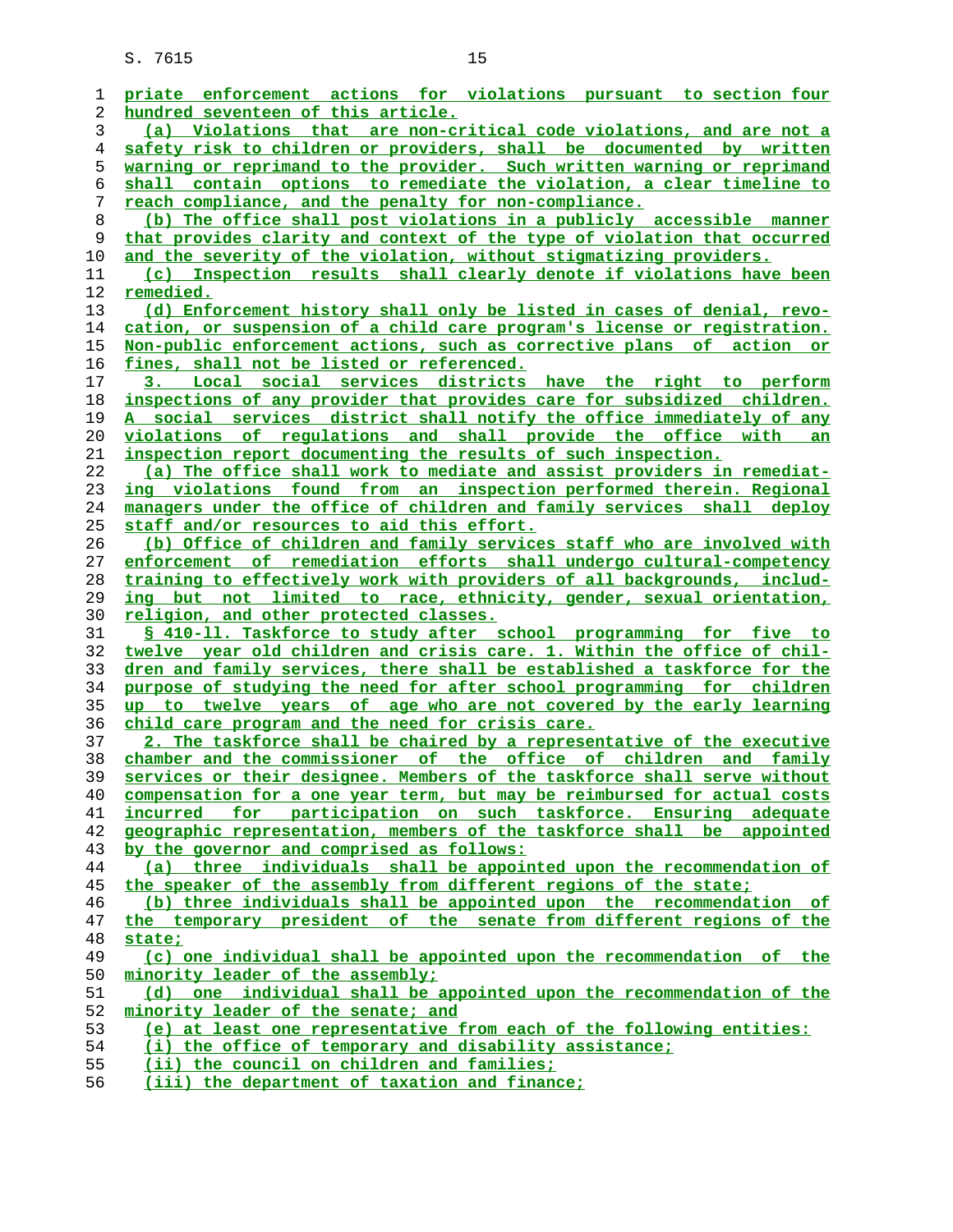| 1  | priate enforcement actions for violations pursuant to section four       |
|----|--------------------------------------------------------------------------|
| 2  | hundred seventeen of this article.                                       |
| 3  | (a) Violations that are non-critical code violations, and are not a      |
| 4  | safety risk to children or providers, shall be documented by written     |
| 5  | warning or reprimand to the provider. Such written warning or reprimand  |
| 6  | shall contain options to remediate the violation, a clear timeline to    |
| 7  | reach compliance, and the penalty for non-compliance.                    |
| 8  | (b) The office shall post violations in a publicly accessible manner     |
| 9  | that provides clarity and context of the type of violation that occurred |
| 10 | and the severity of the violation, without stigmatizing providers.       |
| 11 | (c) Inspection results shall clearly denote if violations have been      |
| 12 | remedied.                                                                |
| 13 | (d) Enforcement history shall only be listed in cases of denial, revo-   |
| 14 | cation, or suspension of a child care program's license or registration. |
| 15 | Non-public enforcement actions, such as corrective plans of action or    |
| 16 | fines, shall not be listed or referenced.                                |
| 17 | 3. Local social services districts have the right to perform             |
| 18 | inspections of any provider that provides care for subsidized children.  |
| 19 | A social services district shall notify the office immediately of any    |
| 20 | violations of regulations and shall provide the office with an           |
| 21 | inspection report documenting the results of such inspection.            |
| 22 | (a) The office shall work to mediate and assist providers in remediat-   |
| 23 | ing violations found from an inspection performed therein. Regional      |
| 24 | managers under the office of children and family services shall deploy   |
| 25 | staff and/or resources to aid this effort.                               |
| 26 | (b) Office of children and family services staff who are involved with   |
| 27 | enforcement of remediation efforts shall undergo cultural-competency     |
| 28 | training to effectively work with providers of all backgrounds, includ-  |
| 29 | ing but not limited to race, ethnicity, gender, sexual orientation,      |
| 30 | <u>religion, and other protected classes.</u>                            |
| 31 | \$ 410-11. Taskforce to study after school programming for five to       |
| 32 | twelve year old children and crisis care. 1. Within the office of chil-  |
| 33 | dren and family services, there shall be established a taskforce for the |
| 34 | purpose of studying the need for after school programming for children   |
| 35 | up to twelve years of age who are not covered by the early learning      |
| 36 | child care program and the need for crisis care.                         |
| 37 | 2. The taskforce shall be chaired by a representative of the executive   |
| 38 | chamber and the commissioner of the office of children and family        |
| 39 | services or their designee. Members of the taskforce shall serve without |
| 40 | compensation for a one year term, but may be reimbursed for actual costs |
| 41 | incurred for participation on such taskforce. Ensuring adequate          |
| 42 | geographic representation, members of the taskforce shall be appointed   |
| 43 | by the governor and comprised as follows:                                |
| 44 | (a) three individuals shall be appointed upon the recommendation of      |
| 45 | the speaker of the assembly from different regions of the state;         |
| 46 | (b) three individuals shall be appointed upon the recommendation of      |
| 47 | the temporary president of the senate from different regions of the      |
| 48 | state;                                                                   |
| 49 | (c) one individual shall be appointed upon the recommendation of the     |
| 50 | minority leader of the assembly;                                         |
| 51 | (d) one individual shall be appointed upon the recommendation of the     |
| 52 | minority leader of the senate; and                                       |
| 53 | (e) at least one representative from each of the following entities:     |
| 54 | (i) the office of temporary and disability assistance;                   |
| 55 | (ii) the council on children and families;                               |

**(iii) the department of taxation and finance;**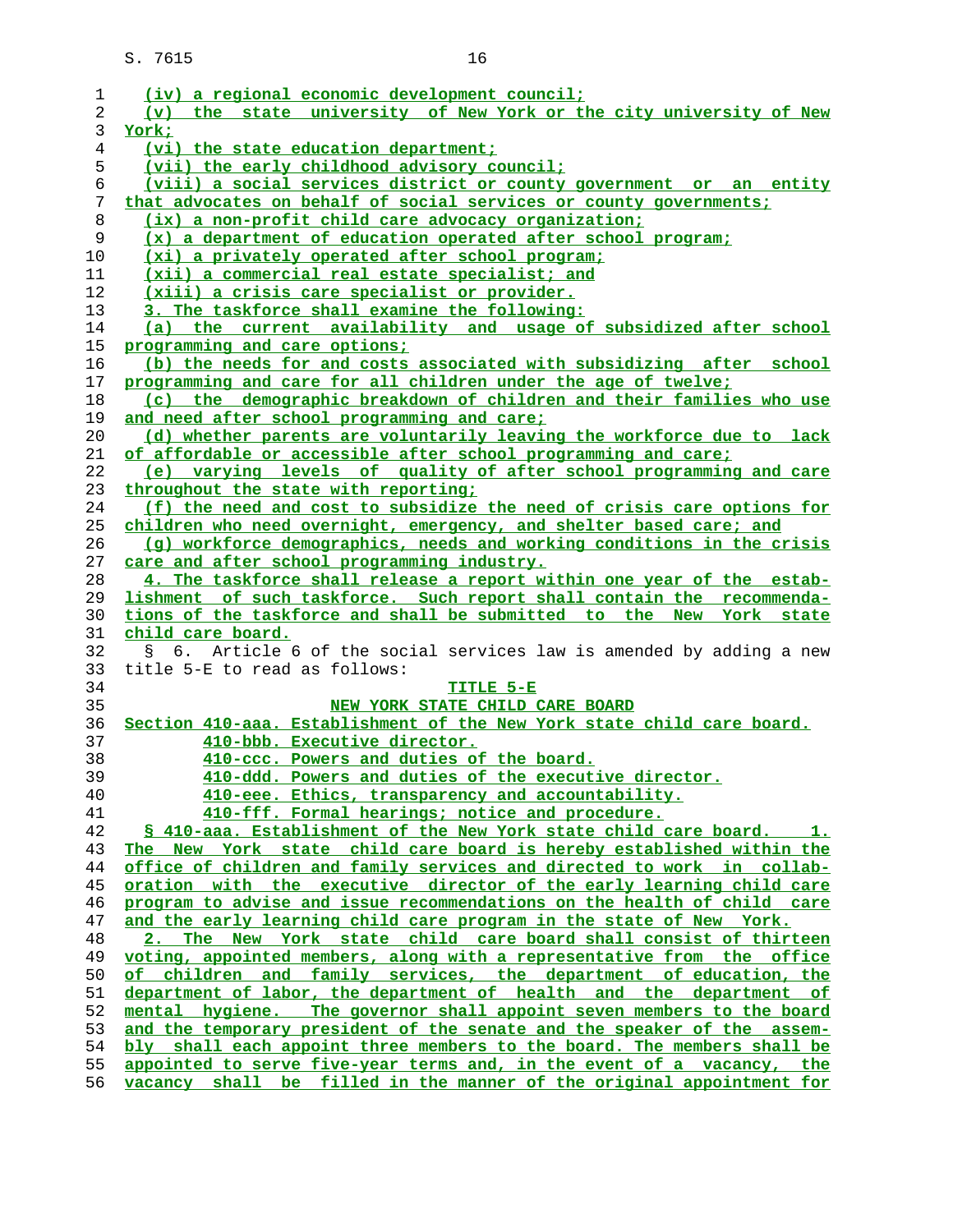| 1              | (iv) a regional economic development council;                                                                                                  |
|----------------|------------------------------------------------------------------------------------------------------------------------------------------------|
| $\overline{2}$ | (v) the state university of New York or the city university of New                                                                             |
| 3              | York;                                                                                                                                          |
| 4              | (vi) the state education department;                                                                                                           |
| 5              | (vii) the early childhood advisory council;                                                                                                    |
| 6              | (viii) a social services district or county government or an entity                                                                            |
| 7              | that advocates on behalf of social services or county governments;                                                                             |
| 8              | (ix) a non-profit child care advocacy organization;                                                                                            |
| 9              | (x) a department of education operated after school program;                                                                                   |
| 10             | (xi) a privately operated after school program;                                                                                                |
| 11             | (xii) a commercial real estate specialist; and                                                                                                 |
| 12             | (xiii) a crisis care specialist or provider.                                                                                                   |
| 13             | 3. The taskforce shall examine the following:                                                                                                  |
| 14             | (a) the current availability and usage of subsidized after school                                                                              |
| 15             | programming and care options;                                                                                                                  |
| 16             | (b) the needs for and costs associated with subsidizing after school                                                                           |
| 17             | programming and care for all children under the age of twelve;                                                                                 |
| 18             | (c) the demographic breakdown of children and their families who use                                                                           |
| 19             | and need after school programming and care;                                                                                                    |
| 20             | (d) whether parents are voluntarily leaving the workforce due to lack                                                                          |
| 21             | of affordable or accessible after school programming and care;                                                                                 |
| 22             | (e) varying levels of quality of after school programming and care                                                                             |
| 23             | throughout the state with reporting;                                                                                                           |
| 24             | (f) the need and cost to subsidize the need of crisis care options for                                                                         |
| 25             | children who need overnight, emergency, and shelter based care; and                                                                            |
| 26             | (q) workforce demographics, needs and working conditions in the crisis                                                                         |
| 27             | care and after school programming industry.                                                                                                    |
| 28             |                                                                                                                                                |
|                |                                                                                                                                                |
|                | 4. The taskforce shall release a report within one year of the estab-                                                                          |
| 29<br>30       | lishment of such taskforce. Such report shall contain the recommenda-                                                                          |
| 31             | tions of the taskforce and shall be submitted to the New York state<br>child care board.                                                       |
| 32             | Ş.                                                                                                                                             |
| 33             | 6. Article 6 of the social services law is amended by adding a new<br>title 5-E to read as follows:                                            |
| 34             | TITLE 5-E                                                                                                                                      |
| 35             |                                                                                                                                                |
|                | NEW YORK STATE CHILD CARE BOARD<br>Section 410-aaa. Establishment of the New York state child care board.                                      |
| 36<br>37       | 410-bbb. Executive director.                                                                                                                   |
| 38             | 410-ccc. Powers and duties of the board.                                                                                                       |
| 39             | 410-ddd. Powers and duties of the executive director.                                                                                          |
| 40             |                                                                                                                                                |
| 41             | 410-eee. Ethics, transparency and accountability.<br>410-fff. Formal hearings; notice and procedure.                                           |
| 42             | S 410-aaa. Establishment of the New York state child care board. 1.                                                                            |
| 43             |                                                                                                                                                |
| 44             | The New York state child care board is hereby established within the<br>office of children and family services and directed to work in collab- |
| 45             | oration with the executive director of the early learning child care                                                                           |
| 46             | program to advise and issue recommendations on the health of child care                                                                        |
| 47             | and the early learning child care program in the state of New York.                                                                            |
| 48             | 2. The New York state child care board shall consist of thirteen                                                                               |
| 49             | voting, appointed members, along with a representative from the office                                                                         |
| 50             | of children and family services, the department of education, the                                                                              |
| 51             | department of labor, the department of health and the department of                                                                            |
| 52             | mental hygiene. The governor shall appoint seven members to the board                                                                          |
| 53             | and the temporary president of the senate and the speaker of the assem-                                                                        |
| 54             | bly shall each appoint three members to the board. The members shall be                                                                        |
| 55             | appointed to serve five-year terms and, in the event of a vacancy, the                                                                         |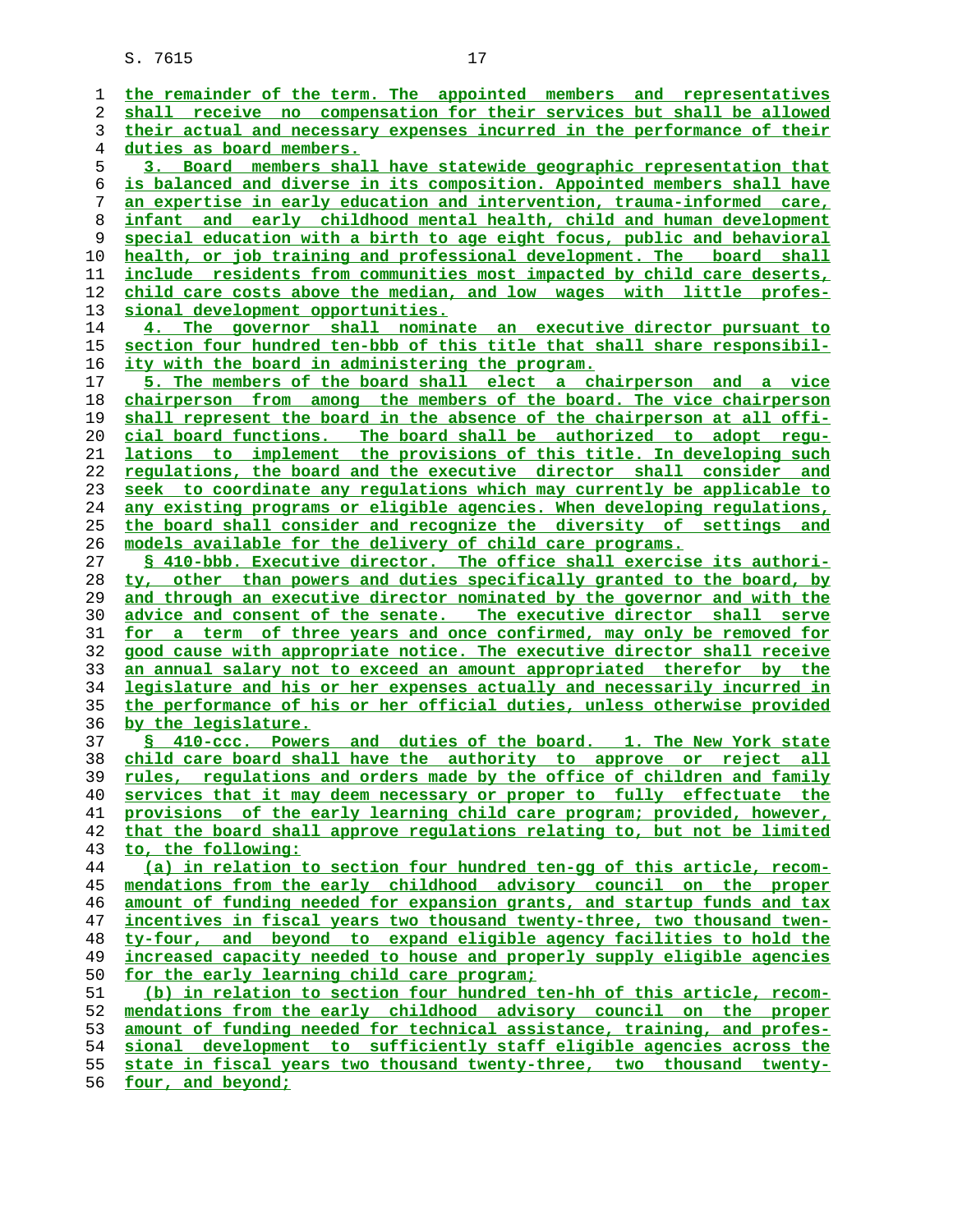| ı  | the remainder of the term. The appointed members and representatives           |
|----|--------------------------------------------------------------------------------|
| 2  | shall receive no compensation for their services but shall be allowed          |
| 3  | their actual and necessary expenses incurred in the performance of their       |
| 4  | duties as board members.                                                       |
| 5  | 3. Board members shall have statewide geographic representation that           |
| 6  | is balanced and diverse in its composition. Appointed members shall have       |
| 7  | <u>an expertise in early education and intervention, trauma-informed care,</u> |
| 8  | infant and early childhood mental health, child and human development          |
| 9  | special education with a birth to age eight focus, public and behavioral       |
| 10 | health, or job training and professional development. The board shall          |
| 11 | include residents from communities most impacted by child care deserts,        |
| 12 | child care costs above the median, and low wages with little profes-           |
| 13 | sional development opportunities.                                              |
| 14 | 4. The governor shall nominate an executive director pursuant to               |
| 15 | section four hundred ten-bbb of this title that shall share responsibil-       |
| 16 | <u>ity with the board in administering the program.</u>                        |
| 17 | 5. The members of the board shall elect a chairperson and a vice               |
| 18 | chairperson from among the members of the board. The vice chairperson          |
| 19 | shall represent the board in the absence of the chairperson at all offi-       |
| 20 | cial board functions. The board shall be authorized to adopt regu-             |
| 21 | lations to implement the provisions of this title. In developing such          |
| 22 | regulations, the board and the executive director shall consider and           |
| 23 | seek to coordinate any requlations which may currently be applicable to        |
| 24 | any existing programs or eligible agencies. When developing regulations,       |
| 25 | the board shall consider and recognize the diversity of settings and           |
| 26 | models available for the delivery of child care programs.                      |
| 27 | \$ 410-bbb. Executive director. The office shall exercise its authori-         |
| 28 | ty, other than powers and duties specifically granted to the board, by         |
| 29 | and through an executive director nominated by the governor and with the       |
| 30 | advice and consent of the senate. The executive director shall serve           |
| 31 | for a term of three years and once confirmed, may only be removed for          |
| 32 | good cause with appropriate notice. The executive director shall receive       |
| 33 | an annual salary not to exceed an amount appropriated therefor by the          |
| 34 | legislature and his or her expenses actually and necessarily incurred in       |
| 35 | the performance of his or her official duties, unless otherwise provided       |
| 36 | by the legislature.                                                            |
| 37 | § 410-ccc. Powers and duties of the board. 1. The New York state               |
| 38 | child care board shall have the authority to approve or reject all             |
| 39 | rules, regulations and orders made by the office of children and family        |
| 40 | services that it may deem necessary or proper to fully effectuate the          |
| 41 | provisions of the early learning child care program; provided, however,        |
| 42 | that the board shall approve regulations relating to, but not be limited       |
| 43 | to, the following:                                                             |
| 44 | (a) in relation to section four hundred ten-gg of this article, recom-         |
| 45 | mendations from the early childhood advisory council on the proper             |
| 46 | amount of funding needed for expansion grants, and startup funds and tax       |
| 47 | incentives in fiscal years two thousand twenty-three, two thousand twen-       |
| 48 | ty-four, and beyond to expand eligible agency facilities to hold the           |
| 49 | increased capacity needed to house and properly supply eligible agencies       |
| 50 | for the early learning child care program;                                     |
| 51 | (b) in relation to section four hundred ten-hh of this article, recom-         |
| 52 | mendations from the early childhood advisory council on the proper             |
| 53 | amount of funding needed for technical assistance, training, and profes-       |
| 54 | sional development to sufficiently staff eligible agencies across the          |
| 55 | state in fiscal years two thousand twenty-three, two thousand twenty-          |
| 56 | four, and beyond;                                                              |
|    |                                                                                |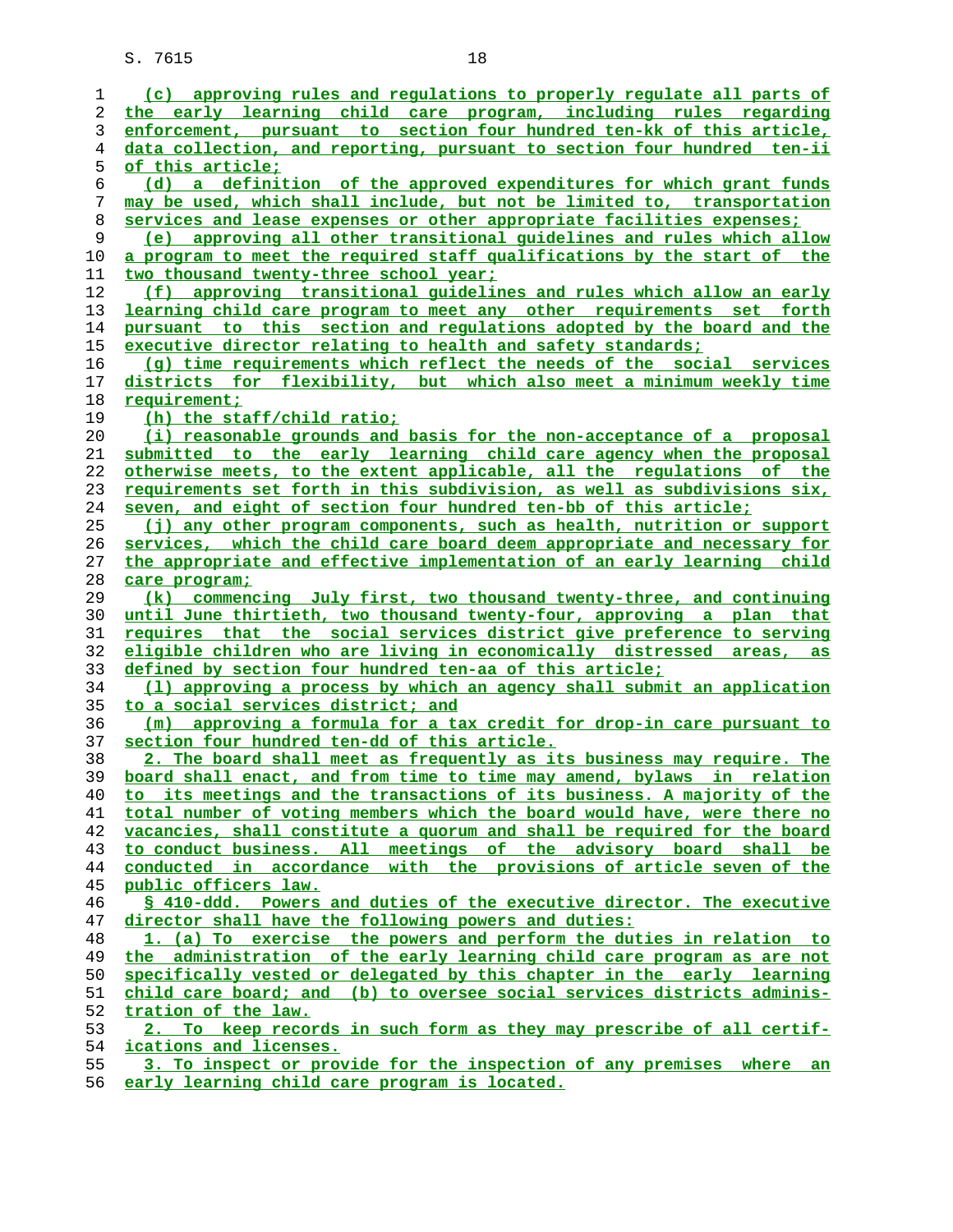| ı        | (c) approving rules and regulations to properly regulate all parts of                          |
|----------|------------------------------------------------------------------------------------------------|
| 2        | the early learning child care program, including rules regarding                               |
| 3        | enforcement, pursuant to section four hundred ten-kk of this article,                          |
| 4        | data collection, and reporting, pursuant to section four hundred ten-ii                        |
| 5        | <u>of this article;</u>                                                                        |
| 6        | (d) a definition of the approved expenditures for which grant funds                            |
| 7        | may be used, which shall include, but not be limited to, transportation                        |
| 8        | services and lease expenses or other appropriate facilities expenses;                          |
| 9        | (e) approving all other transitional guidelines and rules which allow                          |
| 10       | a program to meet the required staff qualifications by the start of the                        |
| 11       | two thousand twenty-three school year;                                                         |
| 12       | (f) approving transitional quidelines and rules which allow an early                           |
| 13       | learning child care program to meet any other requirements set forth                           |
| 14       | pursuant to this section and regulations adopted by the board and the                          |
| 15       | executive director relating to health and safety standards;                                    |
| 16       | (q) time requirements which reflect the needs of the social services                           |
| 17       | districts for flexibility, but which also meet a minimum weekly time                           |
| 18       | requirement;                                                                                   |
| 19       | (h) the staff/child ratio;                                                                     |
| 20       | (i) reasonable grounds and basis for the non-acceptance of a proposal                          |
| 21       | submitted to the early learning child care agency when the proposal                            |
| 22       | otherwise meets, to the extent applicable, all the requlations of the                          |
|          |                                                                                                |
| 23       | requirements set forth in this subdivision, as well as subdivisions six,                       |
| 24       | seven, and eight of section four hundred ten-bb of this article;                               |
| 25       | (j) any other program components, such as health, nutrition or support                         |
| 26       | services, which the child care board deem appropriate and necessary for                        |
| 27       | the appropriate and effective implementation of an early learning child                        |
| 28       | care program;                                                                                  |
| 29       | (k) commencing July first, two thousand twenty-three, and continuing                           |
| 30       | until June thirtieth, two thousand twenty-four, approving a plan that                          |
| 31       | requires that the social services district give preference to serving                          |
| 32       | eligible children who are living in economically distressed areas, as                          |
| 33       | defined by section four hundred ten-aa of this article;                                        |
| 34       | (1) approving a process by which an agency shall submit an application                         |
| 35       |                                                                                                |
| 36       | to a social services district; and                                                             |
|          | (m) approving a formula for a tax credit for drop-in care pursuant to                          |
| 37       | section four hundred ten-dd of this article.                                                   |
| 38       | 2. The board shall meet as frequently as its business may require. The                         |
| 39       | board shall enact, and from time to time may amend, bylaws in relation                         |
| 40       | to its meetings and the transactions of its business. A majority of the                        |
| 41       | total number of voting members which the board would have, were there no                       |
| 42       | vacancies, shall constitute a quorum and shall be required for the board                       |
| 43       | to conduct business. All meetings of the advisory board shall be                               |
| 44       | conducted in accordance with the provisions of article seven of the                            |
| 45       | public officers law.                                                                           |
| 46       | § 410-ddd. Powers and duties of the executive director. The executive                          |
| 47       | director shall have the following powers and duties:                                           |
| 48       | 1. (a) To exercise the powers and perform the duties in relation to                            |
| 49       | the administration of the early learning child care program as are not                         |
| 50       | specifically vested or delegated by this chapter in the early learning                         |
| 51       | child care board; and (b) to oversee social services districts adminis-                        |
| 52       | tration of the law.                                                                            |
| 53       | 2. To keep records in such form as they may prescribe of all certif-                           |
| 54<br>55 | ications and licenses.<br>3. To inspect or provide for the inspection of any premises where an |

**early learning child care program is located.**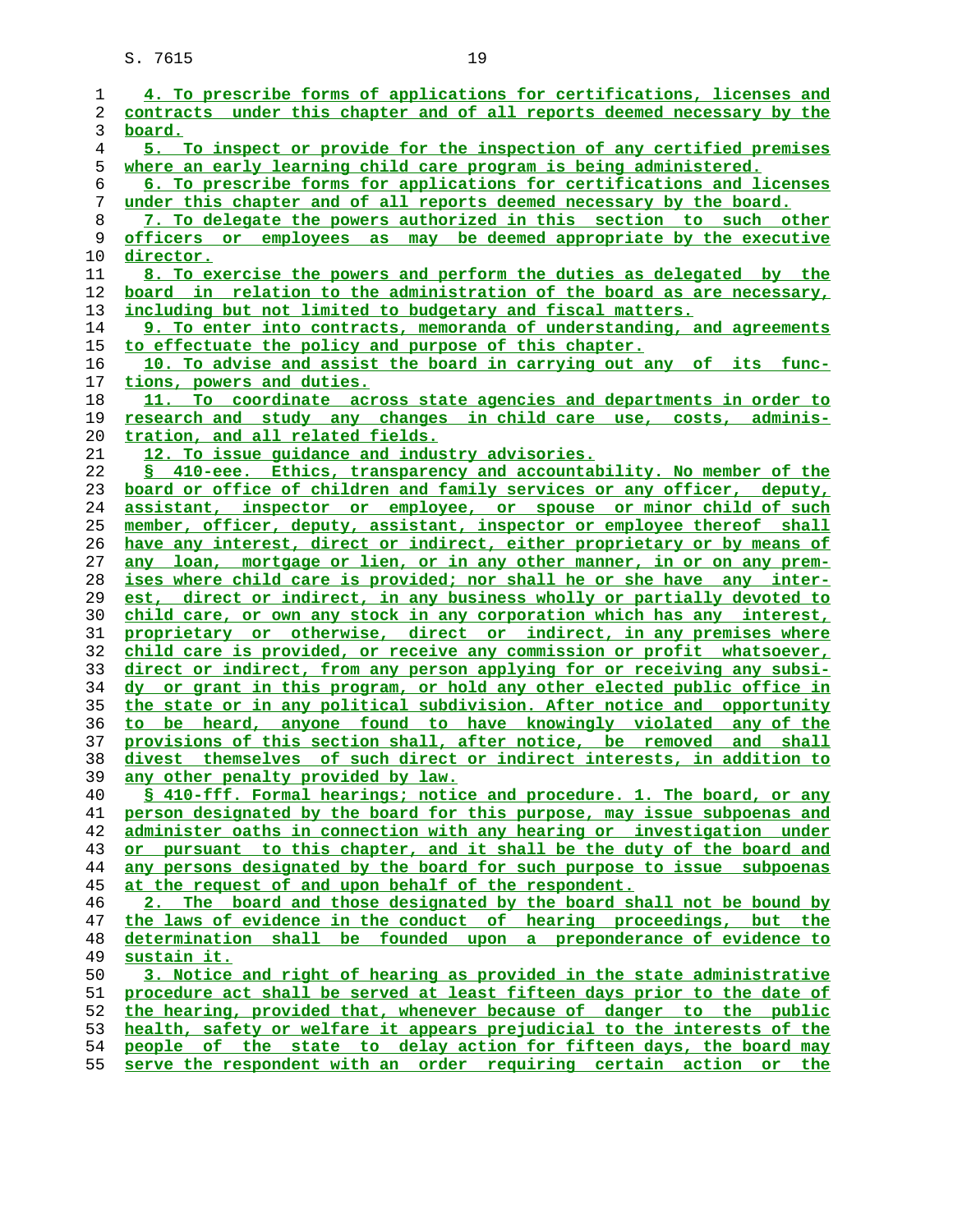| 1  | 4. To prescribe forms of applications for certifications, licenses and             |
|----|------------------------------------------------------------------------------------|
| 2  | contracts under this chapter and of all reports deemed necessary by the            |
| 3  | board.                                                                             |
|    |                                                                                    |
| 4  | 5. To inspect or provide for the inspection of any certified premises              |
| 5  | where an early learning child care program is being administered.                  |
| 6  | 6. To prescribe forms for applications for certifications and licenses             |
| 7  | under this chapter and of all reports deemed necessary by the board.               |
| 8  | 7. To delegate the powers authorized in this section to such other                 |
| 9  | officers or employees as may be deemed appropriate by the executive                |
| 10 | <u>director.</u>                                                                   |
| 11 | 8. To exercise the powers and perform the duties as delegated by the               |
| 12 | <u>board in relation to the administration of the board as are necessary,</u>      |
| 13 | including but not limited to budgetary and fiscal matters.                         |
| 14 | 9. To enter into contracts, memoranda of understanding, and agreements             |
| 15 | to effectuate the policy and purpose of this chapter.                              |
| 16 | 10. To advise and assist the board in carrying out any of its func-                |
| 17 | tions, powers and duties.                                                          |
| 18 | 11. To coordinate across state agencies and departments in order to                |
| 19 | research and study any changes in child care use, costs, adminis-                  |
|    |                                                                                    |
| 20 | tration, and all related fields.<br>12. To issue quidance and industry advisories. |
| 21 |                                                                                    |
| 22 | § 410-eee. Ethics, transparency and accountability. No member of the               |
| 23 | board or office of children and family services or any officer, deputy,            |
| 24 | assistant, inspector or employee, or spouse or minor child of such                 |
| 25 | member, officer, deputy, assistant, inspector or employee thereof shall            |
| 26 | have any interest, direct or indirect, either proprietary or by means of           |
| 27 | any loan, mortgage or lien, or in any other manner, in or on any prem-             |
| 28 | ises where child care is provided; nor shall he or she have any inter-             |
| 29 | est, direct or indirect, in any business wholly or partially devoted to            |
| 30 | child care, or own any stock in any corporation which has any interest,            |
| 31 | proprietary or otherwise, direct or indirect, in any premises where                |
| 32 | child care is provided, or receive any commission or profit whatsoever,            |
| 33 | direct or indirect, from any person applying for or receiving any subsi-           |
| 34 | dy or grant in this program, or hold any other elected public office in            |
| 35 | the state or in any political subdivision. After notice and opportunity            |
| 36 | to be heard, anyone found to have knowingly violated any of the                    |
| 37 | provisions of this section shall, after notice, be removed and shall               |
| 38 | divest themselves of such direct or indirect interests, in addition to             |
| 39 | any other penalty provided by law.                                                 |
| 40 | § 410-fff. Formal hearings; notice and procedure. 1. The board, or any             |
| 41 | person designated by the board for this purpose, may issue subpoenas and           |
| 42 | administer oaths in connection with any hearing or investigation under             |
| 43 | or pursuant to this chapter, and it shall be the duty of the board and             |
| 44 | any persons designated by the board for such purpose to issue subpoenas            |
| 45 | at the request of and upon behalf of the respondent.                               |
| 46 | 2. The board and those designated by the board shall not be bound by               |
|    |                                                                                    |
| 47 | the laws of evidence in the conduct of hearing proceedings, but the                |
| 48 | determination shall be founded upon a preponderance of evidence to                 |
| 49 | sustain it.                                                                        |
| 50 | 3. Notice and right of hearing as provided in the state administrative             |
| 51 | procedure act shall be served at least fifteen days prior to the date of           |
| 52 | the hearing, provided that, whenever because of danger to the public               |
| 53 | health, safety or welfare it appears prejudicial to the interests of the           |
| 54 | people of the state to delay action for fifteen days, the board may                |
| 55 | serve the respondent with an order requiring certain action or the                 |